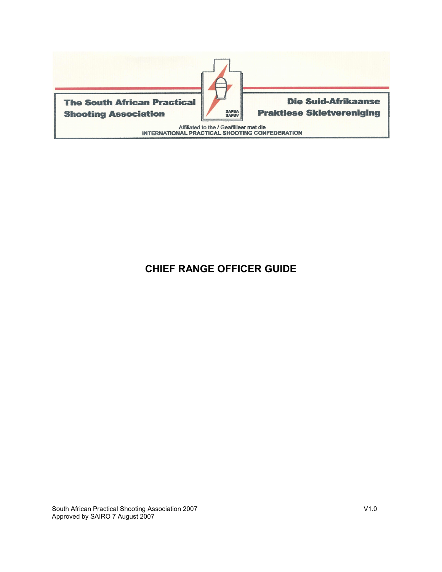

# **CHIEF RANGE OFFICER GUIDE**

South African Practical Shooting Association 2007 V1.0 Approved by SAIRO 7 August 2007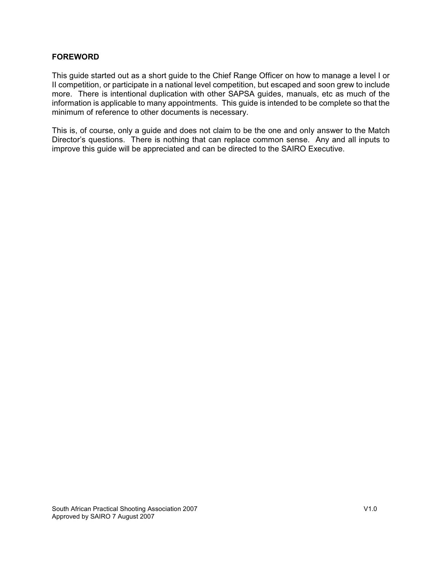### **FOREWORD**

This guide started out as a short guide to the Chief Range Officer on how to manage a level I or II competition, or participate in a national level competition, but escaped and soon grew to include more. There is intentional duplication with other SAPSA guides, manuals, etc as much of the information is applicable to many appointments. This guide is intended to be complete so that the minimum of reference to other documents is necessary.

This is, of course, only a guide and does not claim to be the one and only answer to the Match Director's questions. There is nothing that can replace common sense. Any and all inputs to improve this guide will be appreciated and can be directed to the SAIRO Executive.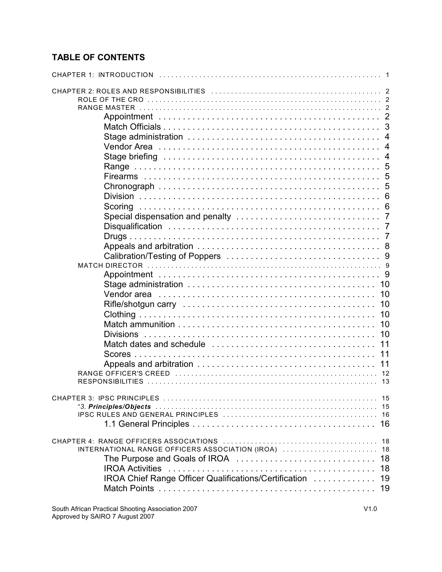# **TABLE OF CONTENTS**

| <b>CHAPTER 1: INTRODUCTION</b>                                                                                                                                        |
|-----------------------------------------------------------------------------------------------------------------------------------------------------------------------|
| -4<br>- 9<br>10<br>10<br>10<br>10<br>10<br>10<br>11<br>11<br>11<br>12                                                                                                 |
| 13<br>-15                                                                                                                                                             |
| 18<br>INTERNATIONAL RANGE OFFICERS ASSOCIATION (IROA)  18<br>The Purpose and Goals of IROA<br>18<br>18<br>IROA Chief Range Officer Qualifications/Certification<br>19 |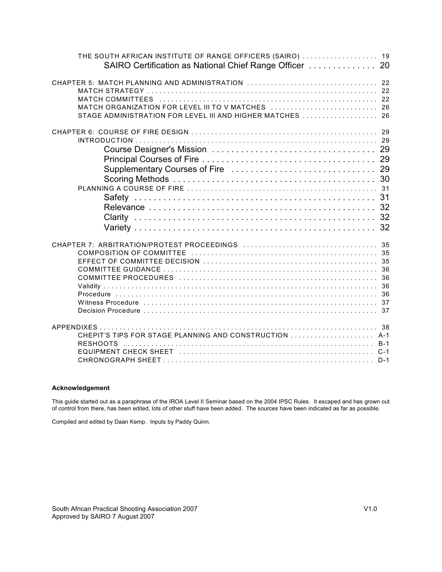| THE SOUTH AFRICAN INSTITUTE OF RANGE OFFICERS (SAIRO)  19<br>SAIRO Certification as National Chief Range Officer  20 |  |
|----------------------------------------------------------------------------------------------------------------------|--|
| MATCH ORGANIZATION FOR LEVEL III TO V MATCHES  26<br>STAGE ADMINISTRATION FOR LEVEL III AND HIGHER MATCHES  26       |  |
|                                                                                                                      |  |
|                                                                                                                      |  |
| CHEPIT'S TIPS FOR STAGE PLANNING AND CONSTRUCTION  A-1                                                               |  |

#### **Acknowledgement**

This guide started out as a paraphrase of the IROA Level II Seminar based on the 2004 IPSC Rules. It escaped and has grown out of control from there, has been edited, lots of other stuff have been added. The sources have been indicated as far as possible.

Compiled and edited by Daan Kemp. Inputs by Paddy Quinn.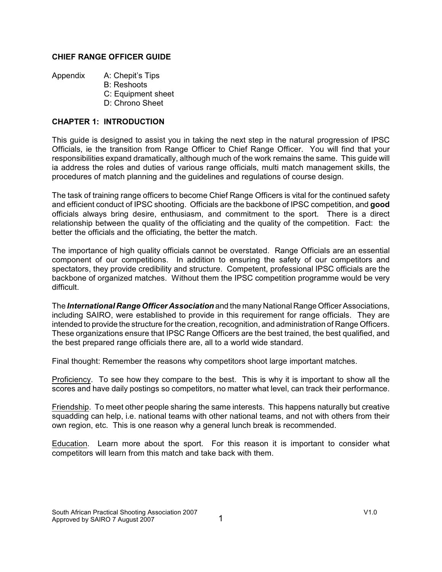### **CHIEF RANGE OFFICER GUIDE**

Appendix A: Chepit's Tips

- B: Reshoots
- C: Equipment sheet
- D: Chrono Sheet

### **CHAPTER 1: INTRODUCTION**

This guide is designed to assist you in taking the next step in the natural progression of IPSC Officials, ie the transition from Range Officer to Chief Range Officer. You will find that your responsibilities expand dramatically, although much of the work remains the same. This guide will ia address the roles and duties of various range officials, multi match management skills, the procedures of match planning and the guidelines and regulations of course design.

The task of training range officers to become Chief Range Officers is vital for the continued safety and efficient conduct of IPSC shooting. Officials are the backbone of IPSC competition, and **good** officials always bring desire, enthusiasm, and commitment to the sport. There is a direct relationship between the quality of the officiating and the quality of the competition. Fact: the better the officials and the officiating, the better the match.

The importance of high quality officials cannot be overstated. Range Officials are an essential component of our competitions. In addition to ensuring the safety of our competitors and spectators, they provide credibility and structure. Competent, professional IPSC officials are the backbone of organized matches. Without them the IPSC competition programme would be very difficult.

The *International Range Officer Association* and the many National Range Officer Associations, including SAIRO, were established to provide in this requirement for range officials. They are intended to provide the structure for the creation, recognition, and administration of Range Officers. These organizations ensure that IPSC Range Officers are the best trained, the best qualified, and the best prepared range officials there are, all to a world wide standard.

Final thought: Remember the reasons why competitors shoot large important matches.

Proficiency. To see how they compare to the best. This is why it is important to show all the scores and have daily postings so competitors, no matter what level, can track their performance.

Friendship. To meet other people sharing the same interests. This happens naturally but creative squadding can help, i.e. national teams with other national teams, and not with others from their own region, etc. This is one reason why a general lunch break is recommended.

Education. Learn more about the sport. For this reason it is important to consider what competitors will learn from this match and take back with them.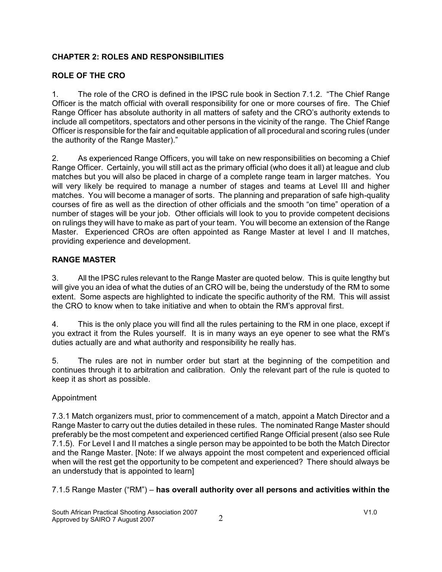### **CHAPTER 2: ROLES AND RESPONSIBILITIES**

# **ROLE OF THE CRO**

1. The role of the CRO is defined in the IPSC rule book in Section 7.1.2. "The Chief Range Officer is the match official with overall responsibility for one or more courses of fire. The Chief Range Officer has absolute authority in all matters of safety and the CRO's authority extends to include all competitors, spectators and other persons in the vicinity of the range. The Chief Range Officer is responsible for the fair and equitable application of all procedural and scoring rules (under the authority of the Range Master)."

2. As experienced Range Officers, you will take on new responsibilities on becoming a Chief Range Officer. Certainly, you will still act as the primary official (who does it all) at league and club matches but you will also be placed in charge of a complete range team in larger matches. You will very likely be required to manage a number of stages and teams at Level III and higher matches. You will become a manager of sorts. The planning and preparation of safe high-quality courses of fire as well as the direction of other officials and the smooth "on time" operation of a number of stages will be your job. Other officials will look to you to provide competent decisions on rulings they will have to make as part of your team. You will become an extension of the Range Master. Experienced CROs are often appointed as Range Master at level I and II matches, providing experience and development.

## **RANGE MASTER**

3. All the IPSC rules relevant to the Range Master are quoted below. This is quite lengthy but will give you an idea of what the duties of an CRO will be, being the understudy of the RM to some extent. Some aspects are highlighted to indicate the specific authority of the RM. This will assist the CRO to know when to take initiative and when to obtain the RM's approval first.

4. This is the only place you will find all the rules pertaining to the RM in one place, except if you extract it from the Rules yourself. It is in many ways an eye opener to see what the RM's duties actually are and what authority and responsibility he really has.

5. The rules are not in number order but start at the beginning of the competition and continues through it to arbitration and calibration. Only the relevant part of the rule is quoted to keep it as short as possible.

### Appointment

7.3.1 Match organizers must, prior to commencement of a match, appoint a Match Director and a Range Master to carry out the duties detailed in these rules. The nominated Range Master should preferably be the most competent and experienced certified Range Official present (also see Rule 7.1.5). For Level I and II matches a single person may be appointed to be both the Match Director and the Range Master. [Note: If we always appoint the most competent and experienced official when will the rest get the opportunity to be competent and experienced? There should always be an understudy that is appointed to learn]

7.1.5 Range Master ("RM") – **has overall authority over all persons and activities within the**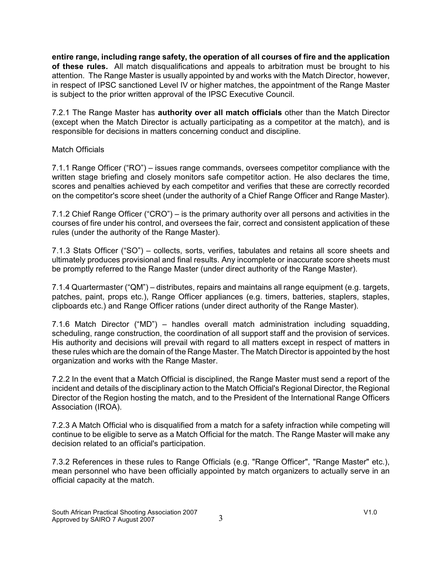**entire range, including range safety, the operation of all courses of fire and the application of these rules.** All match disqualifications and appeals to arbitration must be brought to his attention. The Range Master is usually appointed by and works with the Match Director, however, in respect of IPSC sanctioned Level IV or higher matches, the appointment of the Range Master is subject to the prior written approval of the IPSC Executive Council.

7.2.1 The Range Master has **authority over all match officials** other than the Match Director (except when the Match Director is actually participating as a competitor at the match), and is responsible for decisions in matters concerning conduct and discipline.

### Match Officials

7.1.1 Range Officer ("RO") – issues range commands, oversees competitor compliance with the written stage briefing and closely monitors safe competitor action. He also declares the time, scores and penalties achieved by each competitor and verifies that these are correctly recorded on the competitor's score sheet (under the authority of a Chief Range Officer and Range Master).

7.1.2 Chief Range Officer ("CRO") – is the primary authority over all persons and activities in the courses of fire under his control, and oversees the fair, correct and consistent application of these rules (under the authority of the Range Master).

7.1.3 Stats Officer ("SO") – collects, sorts, verifies, tabulates and retains all score sheets and ultimately produces provisional and final results. Any incomplete or inaccurate score sheets must be promptly referred to the Range Master (under direct authority of the Range Master).

7.1.4 Quartermaster ("QM") – distributes, repairs and maintains all range equipment (e.g. targets, patches, paint, props etc.), Range Officer appliances (e.g. timers, batteries, staplers, staples, clipboards etc.) and Range Officer rations (under direct authority of the Range Master).

7.1.6 Match Director ("MD") – handles overall match administration including squadding, scheduling, range construction, the coordination of all support staff and the provision of services. His authority and decisions will prevail with regard to all matters except in respect of matters in these rules which are the domain of the Range Master. The Match Director is appointed by the host organization and works with the Range Master.

7.2.2 In the event that a Match Official is disciplined, the Range Master must send a report of the incident and details of the disciplinary action to the Match Official's Regional Director, the Regional Director of the Region hosting the match, and to the President of the International Range Officers Association (IROA).

7.2.3 A Match Official who is disqualified from a match for a safety infraction while competing will continue to be eligible to serve as a Match Official for the match. The Range Master will make any decision related to an official's participation.

7.3.2 References in these rules to Range Officials (e.g. "Range Officer", "Range Master" etc.), mean personnel who have been officially appointed by match organizers to actually serve in an official capacity at the match.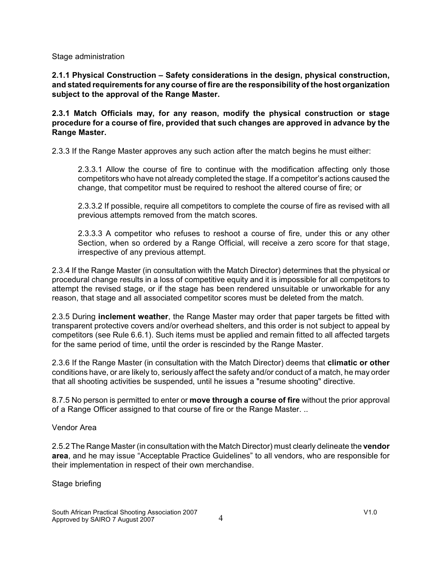Stage administration

**2.1.1 Physical Construction – Safety considerations in the design, physical construction, and stated requirements for any course of fire are the responsibility of the host organization subject to the approval of the Range Master.**

**2.3.1 Match Officials may, for any reason, modify the physical construction or stage procedure for a course of fire, provided that such changes are approved in advance by the Range Master.**

2.3.3 If the Range Master approves any such action after the match begins he must either:

2.3.3.1 Allow the course of fire to continue with the modification affecting only those competitors who have not already completed the stage. If a competitor's actions caused the change, that competitor must be required to reshoot the altered course of fire; or

2.3.3.2 If possible, require all competitors to complete the course of fire as revised with all previous attempts removed from the match scores.

2.3.3.3 A competitor who refuses to reshoot a course of fire, under this or any other Section, when so ordered by a Range Official, will receive a zero score for that stage, irrespective of any previous attempt.

2.3.4 If the Range Master (in consultation with the Match Director) determines that the physical or procedural change results in a loss of competitive equity and it is impossible for all competitors to attempt the revised stage, or if the stage has been rendered unsuitable or unworkable for any reason, that stage and all associated competitor scores must be deleted from the match.

2.3.5 During **inclement weather**, the Range Master may order that paper targets be fitted with transparent protective covers and/or overhead shelters, and this order is not subject to appeal by competitors (see Rule 6.6.1). Such items must be applied and remain fitted to all affected targets for the same period of time, until the order is rescinded by the Range Master.

2.3.6 If the Range Master (in consultation with the Match Director) deems that **climatic or other** conditions have, or are likely to, seriously affect the safety and/or conduct of a match, he may order that all shooting activities be suspended, until he issues a "resume shooting" directive.

8.7.5 No person is permitted to enter or **move through a course of fire** without the prior approval of a Range Officer assigned to that course of fire or the Range Master. ..

Vendor Area

2.5.2 The Range Master (in consultation with the Match Director) must clearly delineate the **vendor area**, and he may issue "Acceptable Practice Guidelines" to all vendors, who are responsible for their implementation in respect of their own merchandise.

Stage briefing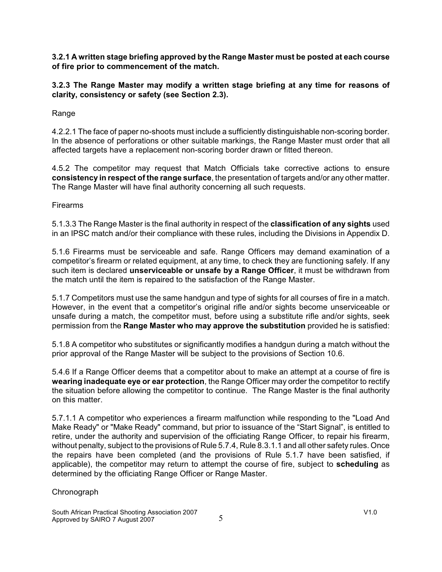**3.2.1 A written stage briefing approved by the Range Master must be posted at each course of fire prior to commencement of the match.**

**3.2.3 The Range Master may modify a written stage briefing at any time for reasons of clarity, consistency or safety (see Section 2.3).**

Range

4.2.2.1 The face of paper no-shoots must include a sufficiently distinguishable non-scoring border. In the absence of perforations or other suitable markings, the Range Master must order that all affected targets have a replacement non-scoring border drawn or fitted thereon.

4.5.2 The competitor may request that Match Officials take corrective actions to ensure **consistency in respect of the range surface**, the presentation of targets and/or any other matter. The Range Master will have final authority concerning all such requests.

Firearms

5.1.3.3 The Range Master is the final authority in respect of the **classification of any sights** used in an IPSC match and/or their compliance with these rules, including the Divisions in Appendix D.

5.1.6 Firearms must be serviceable and safe. Range Officers may demand examination of a competitor's firearm or related equipment, at any time, to check they are functioning safely. If any such item is declared **unserviceable or unsafe by a Range Officer**, it must be withdrawn from the match until the item is repaired to the satisfaction of the Range Master.

5.1.7 Competitors must use the same handgun and type of sights for all courses of fire in a match. However, in the event that a competitor's original rifle and/or sights become unserviceable or unsafe during a match, the competitor must, before using a substitute rifle and/or sights, seek permission from the **Range Master who may approve the substitution** provided he is satisfied:

5.1.8 A competitor who substitutes or significantly modifies a handgun during a match without the prior approval of the Range Master will be subject to the provisions of Section 10.6.

5.4.6 If a Range Officer deems that a competitor about to make an attempt at a course of fire is **wearing inadequate eye or ear protection**, the Range Officer may order the competitor to rectify the situation before allowing the competitor to continue. The Range Master is the final authority on this matter.

5.7.1.1 A competitor who experiences a firearm malfunction while responding to the "Load And Make Ready" or "Make Ready" command, but prior to issuance of the "Start Signal", is entitled to retire, under the authority and supervision of the officiating Range Officer, to repair his firearm, without penalty, subject to the provisions of Rule 5.7.4, Rule 8.3.1.1 and all other safety rules. Once the repairs have been completed (and the provisions of Rule 5.1.7 have been satisfied, if applicable), the competitor may return to attempt the course of fire, subject to **scheduling** as determined by the officiating Range Officer or Range Master.

### **Chronograph**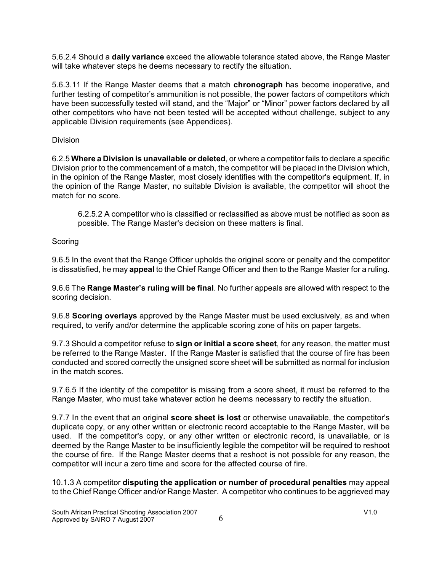5.6.2.4 Should a **daily variance** exceed the allowable tolerance stated above, the Range Master will take whatever steps he deems necessary to rectify the situation.

5.6.3.11 If the Range Master deems that a match **chronograph** has become inoperative, and further testing of competitor's ammunition is not possible, the power factors of competitors which have been successfully tested will stand, and the "Major" or "Minor" power factors declared by all other competitors who have not been tested will be accepted without challenge, subject to any applicable Division requirements (see Appendices).

Division

6.2.5 **Where a Division is unavailable or deleted**, or where a competitor fails to declare a specific Division prior to the commencement of a match, the competitor will be placed in the Division which, in the opinion of the Range Master, most closely identifies with the competitor's equipment. If, in the opinion of the Range Master, no suitable Division is available, the competitor will shoot the match for no score.

6.2.5.2 A competitor who is classified or reclassified as above must be notified as soon as possible. The Range Master's decision on these matters is final.

### **Scoring**

9.6.5 In the event that the Range Officer upholds the original score or penalty and the competitor is dissatisfied, he may **appeal** to the Chief Range Officer and then to the Range Master for a ruling.

9.6.6 The **Range Master's ruling will be final**. No further appeals are allowed with respect to the scoring decision.

9.6.8 **Scoring overlays** approved by the Range Master must be used exclusively, as and when required, to verify and/or determine the applicable scoring zone of hits on paper targets.

9.7.3 Should a competitor refuse to **sign or initial a score sheet**, for any reason, the matter must be referred to the Range Master. If the Range Master is satisfied that the course of fire has been conducted and scored correctly the unsigned score sheet will be submitted as normal for inclusion in the match scores.

9.7.6.5 If the identity of the competitor is missing from a score sheet, it must be referred to the Range Master, who must take whatever action he deems necessary to rectify the situation.

9.7.7 In the event that an original **score sheet is lost** or otherwise unavailable, the competitor's duplicate copy, or any other written or electronic record acceptable to the Range Master, will be used. If the competitor's copy, or any other written or electronic record, is unavailable, or is deemed by the Range Master to be insufficiently legible the competitor will be required to reshoot the course of fire. If the Range Master deems that a reshoot is not possible for any reason, the competitor will incur a zero time and score for the affected course of fire.

10.1.3 A competitor **disputing the application or number of procedural penalties** may appeal to the Chief Range Officer and/or Range Master. A competitor who continues to be aggrieved may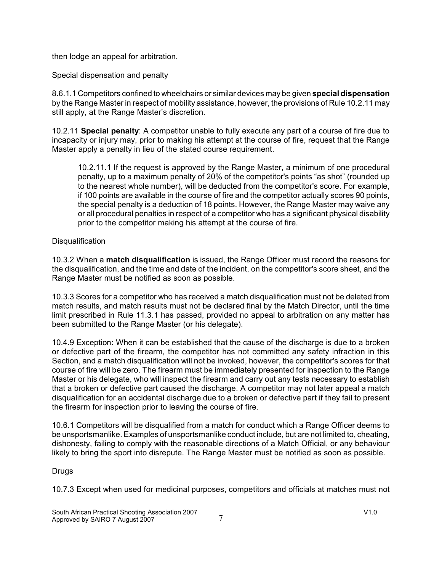then lodge an appeal for arbitration.

Special dispensation and penalty

8.6.1.1 Competitors confined to wheelchairs or similar devices may be given **special dispensation** by the Range Master in respect of mobility assistance, however, the provisions of Rule 10.2.11 may still apply, at the Range Master's discretion.

10.2.11 **Special penalty**: A competitor unable to fully execute any part of a course of fire due to incapacity or injury may, prior to making his attempt at the course of fire, request that the Range Master apply a penalty in lieu of the stated course requirement.

10.2.11.1 If the request is approved by the Range Master, a minimum of one procedural penalty, up to a maximum penalty of 20% of the competitor's points "as shot" (rounded up to the nearest whole number), will be deducted from the competitor's score. For example, if 100 points are available in the course of fire and the competitor actually scores 90 points, the special penalty is a deduction of 18 points. However, the Range Master may waive any or all procedural penalties in respect of a competitor who has a significant physical disability prior to the competitor making his attempt at the course of fire.

### **Disqualification**

10.3.2 When a **match disqualification** is issued, the Range Officer must record the reasons for the disqualification, and the time and date of the incident, on the competitor's score sheet, and the Range Master must be notified as soon as possible.

10.3.3 Scores for a competitor who has received a match disqualification must not be deleted from match results, and match results must not be declared final by the Match Director, until the time limit prescribed in Rule 11.3.1 has passed, provided no appeal to arbitration on any matter has been submitted to the Range Master (or his delegate).

10.4.9 Exception: When it can be established that the cause of the discharge is due to a broken or defective part of the firearm, the competitor has not committed any safety infraction in this Section, and a match disqualification will not be invoked, however, the competitor's scores for that course of fire will be zero. The firearm must be immediately presented for inspection to the Range Master or his delegate, who will inspect the firearm and carry out any tests necessary to establish that a broken or defective part caused the discharge. A competitor may not later appeal a match disqualification for an accidental discharge due to a broken or defective part if they fail to present the firearm for inspection prior to leaving the course of fire.

10.6.1 Competitors will be disqualified from a match for conduct which a Range Officer deems to be unsportsmanlike. Examples of unsportsmanlike conduct include, but are not limited to, cheating, dishonesty, failing to comply with the reasonable directions of a Match Official, or any behaviour likely to bring the sport into disrepute. The Range Master must be notified as soon as possible.

### Drugs

10.7.3 Except when used for medicinal purposes, competitors and officials at matches must not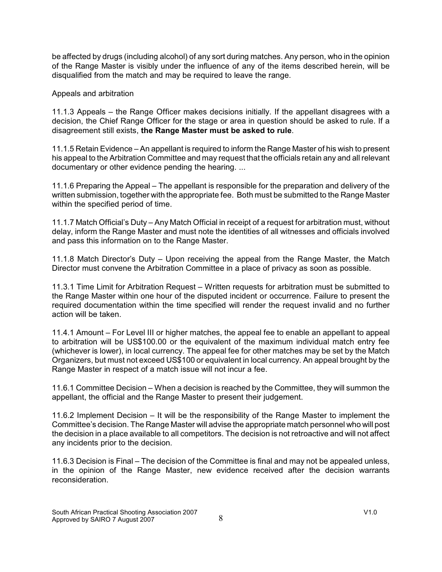be affected by drugs (including alcohol) of any sort during matches. Any person, who in the opinion of the Range Master is visibly under the influence of any of the items described herein, will be disqualified from the match and may be required to leave the range.

Appeals and arbitration

11.1.3 Appeals – the Range Officer makes decisions initially. If the appellant disagrees with a decision, the Chief Range Officer for the stage or area in question should be asked to rule. If a disagreement still exists, **the Range Master must be asked to rule**.

11.1.5 Retain Evidence – An appellant is required to inform the Range Master of his wish to present his appeal to the Arbitration Committee and may request that the officials retain any and all relevant documentary or other evidence pending the hearing. ...

11.1.6 Preparing the Appeal – The appellant is responsible for the preparation and delivery of the written submission, together with the appropriate fee. Both must be submitted to the Range Master within the specified period of time.

11.1.7 Match Official's Duty – Any Match Official in receipt of a request for arbitration must, without delay, inform the Range Master and must note the identities of all witnesses and officials involved and pass this information on to the Range Master.

11.1.8 Match Director's Duty – Upon receiving the appeal from the Range Master, the Match Director must convene the Arbitration Committee in a place of privacy as soon as possible.

11.3.1 Time Limit for Arbitration Request – Written requests for arbitration must be submitted to the Range Master within one hour of the disputed incident or occurrence. Failure to present the required documentation within the time specified will render the request invalid and no further action will be taken.

11.4.1 Amount – For Level III or higher matches, the appeal fee to enable an appellant to appeal to arbitration will be US\$100.00 or the equivalent of the maximum individual match entry fee (whichever is lower), in local currency. The appeal fee for other matches may be set by the Match Organizers, but must not exceed US\$100 or equivalent in local currency. An appeal brought by the Range Master in respect of a match issue will not incur a fee.

11.6.1 Committee Decision – When a decision is reached by the Committee, they will summon the appellant, the official and the Range Master to present their judgement.

11.6.2 Implement Decision – It will be the responsibility of the Range Master to implement the Committee's decision. The Range Master will advise the appropriate match personnel who will post the decision in a place available to all competitors. The decision is not retroactive and will not affect any incidents prior to the decision.

11.6.3 Decision is Final – The decision of the Committee is final and may not be appealed unless, in the opinion of the Range Master, new evidence received after the decision warrants reconsideration.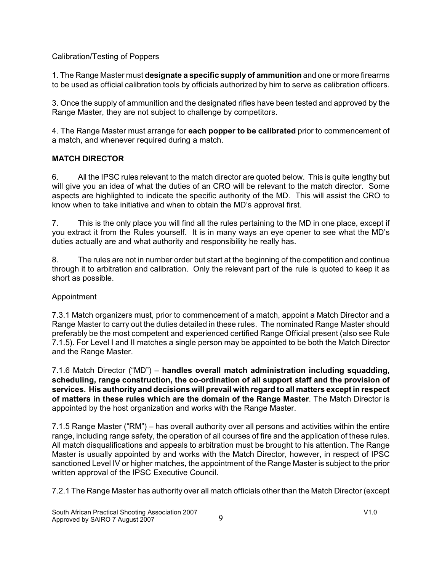### Calibration/Testing of Poppers

1. The Range Master must **designate a specific supply of ammunition** and one or more firearms to be used as official calibration tools by officials authorized by him to serve as calibration officers.

3. Once the supply of ammunition and the designated rifles have been tested and approved by the Range Master, they are not subject to challenge by competitors.

4. The Range Master must arrange for **each popper to be calibrated** prior to commencement of a match, and whenever required during a match.

### **MATCH DIRECTOR**

6. All the IPSC rules relevant to the match director are quoted below. This is quite lengthy but will give you an idea of what the duties of an CRO will be relevant to the match director. Some aspects are highlighted to indicate the specific authority of the MD. This will assist the CRO to know when to take initiative and when to obtain the MD's approval first.

7. This is the only place you will find all the rules pertaining to the MD in one place, except if you extract it from the Rules yourself. It is in many ways an eye opener to see what the MD's duties actually are and what authority and responsibility he really has.

8. The rules are not in number order but start at the beginning of the competition and continue through it to arbitration and calibration. Only the relevant part of the rule is quoted to keep it as short as possible.

### Appointment

7.3.1 Match organizers must, prior to commencement of a match, appoint a Match Director and a Range Master to carry out the duties detailed in these rules. The nominated Range Master should preferably be the most competent and experienced certified Range Official present (also see Rule 7.1.5). For Level I and II matches a single person may be appointed to be both the Match Director and the Range Master.

7.1.6 Match Director ("MD") – **handles overall match administration including squadding, scheduling, range construction, the co-ordination of all support staff and the provision of services. His authority and decisions will prevail with regard to all matters except in respect of matters in these rules which are the domain of the Range Master**. The Match Director is appointed by the host organization and works with the Range Master.

7.1.5 Range Master ("RM") – has overall authority over all persons and activities within the entire range, including range safety, the operation of all courses of fire and the application of these rules. All match disqualifications and appeals to arbitration must be brought to his attention. The Range Master is usually appointed by and works with the Match Director, however, in respect of IPSC sanctioned Level IV or higher matches, the appointment of the Range Master is subject to the prior written approval of the IPSC Executive Council.

7.2.1 The Range Master has authority over all match officials other than the Match Director (except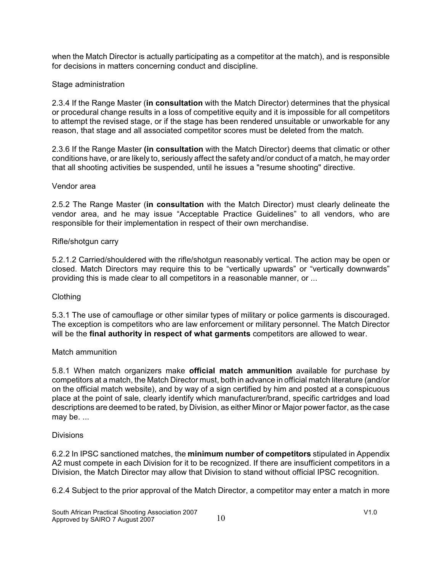when the Match Director is actually participating as a competitor at the match), and is responsible for decisions in matters concerning conduct and discipline.

### Stage administration

2.3.4 If the Range Master (**in consultation** with the Match Director) determines that the physical or procedural change results in a loss of competitive equity and it is impossible for all competitors to attempt the revised stage, or if the stage has been rendered unsuitable or unworkable for any reason, that stage and all associated competitor scores must be deleted from the match.

2.3.6 If the Range Master **(in consultation** with the Match Director) deems that climatic or other conditions have, or are likely to, seriously affect the safety and/or conduct of a match, he may order that all shooting activities be suspended, until he issues a "resume shooting" directive.

#### Vendor area

2.5.2 The Range Master (**in consultation** with the Match Director) must clearly delineate the vendor area, and he may issue "Acceptable Practice Guidelines" to all vendors, who are responsible for their implementation in respect of their own merchandise.

#### Rifle/shotgun carry

5.2.1.2 Carried/shouldered with the rifle/shotgun reasonably vertical. The action may be open or closed. Match Directors may require this to be "vertically upwards" or "vertically downwards" providing this is made clear to all competitors in a reasonable manner, or ...

#### Clothing

5.3.1 The use of camouflage or other similar types of military or police garments is discouraged. The exception is competitors who are law enforcement or military personnel. The Match Director will be the **final authority in respect of what garments** competitors are allowed to wear.

#### Match ammunition

5.8.1 When match organizers make **official match ammunition** available for purchase by competitors at a match, the Match Director must, both in advance in official match literature (and/or on the official match website), and by way of a sign certified by him and posted at a conspicuous place at the point of sale, clearly identify which manufacturer/brand, specific cartridges and load descriptions are deemed to be rated, by Division, as either Minor or Major power factor, as the case may be. ...

#### **Divisions**

6.2.2 In IPSC sanctioned matches, the **minimum number of competitors** stipulated in Appendix A2 must compete in each Division for it to be recognized. If there are insufficient competitors in a Division, the Match Director may allow that Division to stand without official IPSC recognition.

6.2.4 Subject to the prior approval of the Match Director, a competitor may enter a match in more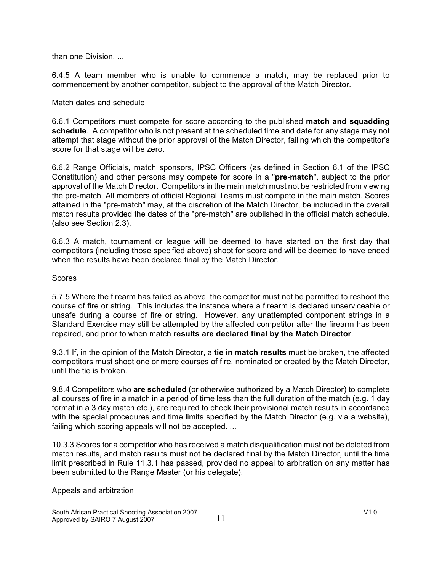than one Division. ...

6.4.5 A team member who is unable to commence a match, may be replaced prior to commencement by another competitor, subject to the approval of the Match Director.

### Match dates and schedule

6.6.1 Competitors must compete for score according to the published **match and squadding schedule**. A competitor who is not present at the scheduled time and date for any stage may not attempt that stage without the prior approval of the Match Director, failing which the competitor's score for that stage will be zero.

6.6.2 Range Officials, match sponsors, IPSC Officers (as defined in Section 6.1 of the IPSC Constitution) and other persons may compete for score in a "**pre-match**", subject to the prior approval of the Match Director. Competitors in the main match must not be restricted from viewing the pre-match. All members of official Regional Teams must compete in the main match. Scores attained in the "pre-match" may, at the discretion of the Match Director, be included in the overall match results provided the dates of the "pre-match" are published in the official match schedule. (also see Section 2.3).

6.6.3 A match, tournament or league will be deemed to have started on the first day that competitors (including those specified above) shoot for score and will be deemed to have ended when the results have been declared final by the Match Director.

### Scores

5.7.5 Where the firearm has failed as above, the competitor must not be permitted to reshoot the course of fire or string. This includes the instance where a firearm is declared unserviceable or unsafe during a course of fire or string. However, any unattempted component strings in a Standard Exercise may still be attempted by the affected competitor after the firearm has been repaired, and prior to when match **results are declared final by the Match Director**.

9.3.1 If, in the opinion of the Match Director, a **tie in match results** must be broken, the affected competitors must shoot one or more courses of fire, nominated or created by the Match Director, until the tie is broken.

9.8.4 Competitors who **are scheduled** (or otherwise authorized by a Match Director) to complete all courses of fire in a match in a period of time less than the full duration of the match (e.g. 1 day format in a 3 day match etc.), are required to check their provisional match results in accordance with the special procedures and time limits specified by the Match Director (e.g. via a website), failing which scoring appeals will not be accepted. ...

10.3.3 Scores for a competitor who has received a match disqualification must not be deleted from match results, and match results must not be declared final by the Match Director, until the time limit prescribed in Rule 11.3.1 has passed, provided no appeal to arbitration on any matter has been submitted to the Range Master (or his delegate).

#### Appeals and arbitration

South African Practical Shooting Association 2007<br>Approved by SAIRO 7 August 2007 11 Approved by SAIRO 7 August 2007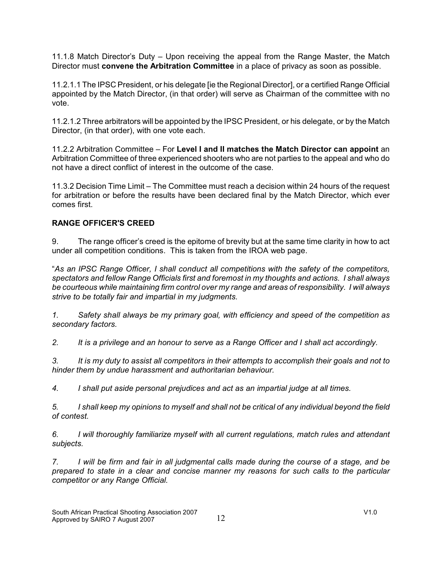11.1.8 Match Director's Duty – Upon receiving the appeal from the Range Master, the Match Director must **convene the Arbitration Committee** in a place of privacy as soon as possible.

11.2.1.1 The IPSC President, or his delegate [ie the Regional Director], or a certified Range Official appointed by the Match Director, (in that order) will serve as Chairman of the committee with no vote.

11.2.1.2 Three arbitrators will be appointed by the IPSC President, or his delegate, or by the Match Director, (in that order), with one vote each.

11.2.2 Arbitration Committee – For **Level I and II matches the Match Director can appoint** an Arbitration Committee of three experienced shooters who are not parties to the appeal and who do not have a direct conflict of interest in the outcome of the case.

11.3.2 Decision Time Limit – The Committee must reach a decision within 24 hours of the request for arbitration or before the results have been declared final by the Match Director, which ever comes first.

### **RANGE OFFICER'S CREED**

9. The range officer's creed is the epitome of brevity but at the same time clarity in how to act under all competition conditions. This is taken from the IROA web page.

"*As an IPSC Range Officer, I shall conduct all competitions with the safety of the competitors, spectators and fellow Range Officials first and foremost in my thoughts and actions. I shall always be courteous while maintaining firm control over my range and areas of responsibility. I will always strive to be totally fair and impartial in my judgments.*

*1. Safety shall always be my primary goal, with efficiency and speed of the competition as secondary factors.*

*2. It is a privilege and an honour to serve as a Range Officer and I shall act accordingly.*

*3. It is my duty to assist all competitors in their attempts to accomplish their goals and not to hinder them by undue harassment and authoritarian behaviour.*

*4. I shall put aside personal prejudices and act as an impartial judge at all times.*

*5. I shall keep my opinions to myself and shall not be critical of any individual beyond the field of contest.*

*6. I will thoroughly familiarize myself with all current regulations, match rules and attendant subjects.*

*7. I will be firm and fair in all judgmental calls made during the course of a stage, and be prepared to state in a clear and concise manner my reasons for such calls to the particular competitor or any Range Official.*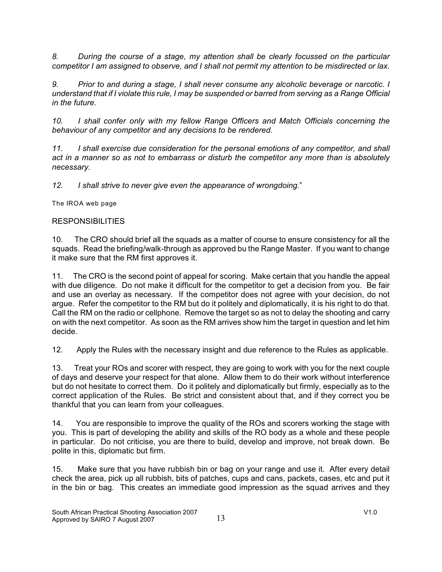*8. During the course of a stage, my attention shall be clearly focussed on the particular competitor I am assigned to observe, and I shall not permit my attention to be misdirected or lax.*

*9. Prior to and during a stage, I shall never consume any alcoholic beverage or narcotic. I understand that if I violate this rule, I may be suspended or barred from serving as a Range Official in the future.*

*10. I shall confer only with my fellow Range Officers and Match Officials concerning the behaviour of any competitor and any decisions to be rendered.*

*11. I shall exercise due consideration for the personal emotions of any competitor, and shall act in a manner so as not to embarrass or disturb the competitor any more than is absolutely necessary.*

*12. I shall strive to never give even the appearance of wrongdoing.*"

The IROA web page

## **RESPONSIBILITIES**

10. The CRO should brief all the squads as a matter of course to ensure consistency for all the squads. Read the briefing/walk-through as approved bu the Range Master. If you want to change it make sure that the RM first approves it.

11. The CRO is the second point of appeal for scoring. Make certain that you handle the appeal with due diligence. Do not make it difficult for the competitor to get a decision from you. Be fair and use an overlay as necessary. If the competitor does not agree with your decision, do not argue. Refer the competitor to the RM but do it politely and diplomatically, it is his right to do that. Call the RM on the radio or cellphone. Remove the target so as not to delay the shooting and carry on with the next competitor. As soon as the RM arrives show him the target in question and let him decide.

12. Apply the Rules with the necessary insight and due reference to the Rules as applicable.

13. Treat your ROs and scorer with respect, they are going to work with you for the next couple of days and deserve your respect for that alone. Allow them to do their work without interference but do not hesitate to correct them. Do it politely and diplomatically but firmly, especially as to the correct application of the Rules. Be strict and consistent about that, and if they correct you be thankful that you can learn from your colleagues.

14. You are responsible to improve the quality of the ROs and scorers working the stage with you. This is part of developing the ability and skills of the RO body as a whole and these people in particular. Do not criticise, you are there to build, develop and improve, not break down. Be polite in this, diplomatic but firm.

15. Make sure that you have rubbish bin or bag on your range and use it. After every detail check the area, pick up all rubbish, bits of patches, cups and cans, packets, cases, etc and put it in the bin or bag. This creates an immediate good impression as the squad arrives and they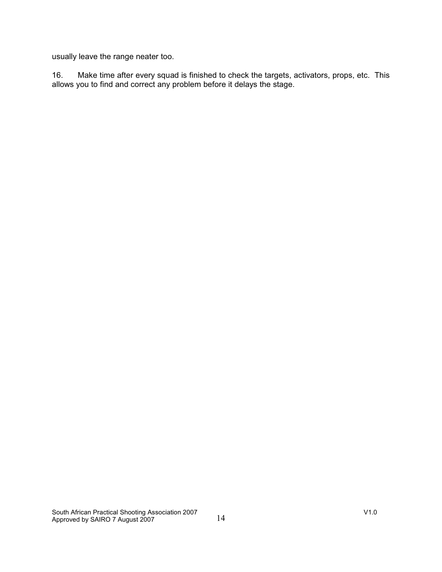usually leave the range neater too.

16. Make time after every squad is finished to check the targets, activators, props, etc. This allows you to find and correct any problem before it delays the stage.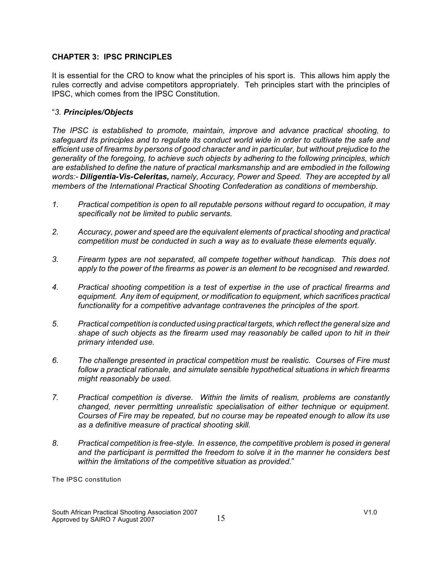### **CHAPTER 3: IPSC PRINCIPLES**

It is essential for the CRO to know what the principles of his sport is. This allows him apply the rules correctly and advise competitors appropriately. Teh principles start with the principles of IPSC, which comes from the IPSC Constitution.

### "*3. Principles/Objects*

*The IPSC is established to promote, maintain, improve and advance practical shooting, to safeguard its principles and to regulate its conduct world wide in order to cultivate the safe and efficient use of firearms by persons of good character and in particular, but without prejudice to the generality of the foregoing, to achieve such objects by adhering to the following principles, which are established to define the nature of practical marksmanship and are embodied in the following words:- Diligentia-Vis-Celeritas, namely, Accuracy, Power and Speed. They are accepted by all members of the International Practical Shooting Confederation as conditions of membership.*

- *1. Practical competition is open to all reputable persons without regard to occupation, it may specifically not be limited to public servants.*
- *2. Accuracy, power and speed are the equivalent elements of practical shooting and practical competition must be conducted in such a way as to evaluate these elements equally.*
- *3. Firearm types are not separated, all compete together without handicap. This does not apply to the power of the firearms as power is an element to be recognised and rewarded.*
- *4. Practical shooting competition is a test of expertise in the use of practical firearms and equipment. Any item of equipment, or modification to equipment, which sacrifices practical functionality for a competitive advantage contravenes the principles of the sport.*
- *5. Practical competition is conducted using practical targets, which reflect the general size and shape of such objects as the firearm used may reasonably be called upon to hit in their primary intended use.*
- *6. The challenge presented in practical competition must be realistic. Courses of Fire must follow a practical rationale, and simulate sensible hypothetical situations in which firearms might reasonably be used.*
- *7. Practical competition is diverse. Within the limits of realism, problems are constantly changed, never permitting unrealistic specialisation of either technique or equipment. Courses of Fire may be repeated, but no course may be repeated enough to allow its use as a definitive measure of practical shooting skill.*
- *8. Practical competition is free-style. In essence, the competitive problem is posed in general and the participant is permitted the freedom to solve it in the manner he considers best within the limitations of the competitive situation as provided.*"

The IPSC constitution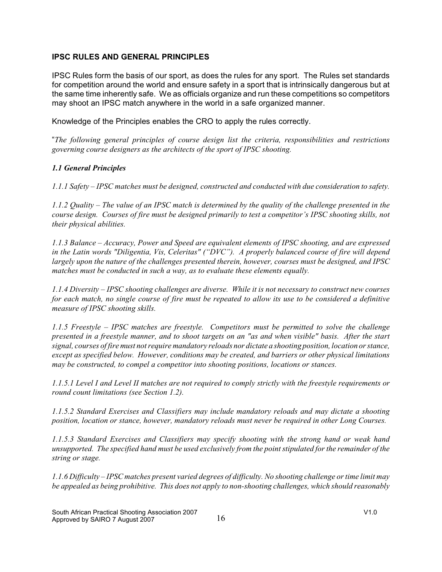### **IPSC RULES AND GENERAL PRINCIPLES**

IPSC Rules form the basis of our sport, as does the rules for any sport. The Rules set standards for competition around the world and ensure safety in a sport that is intrinsically dangerous but at the same time inherently safe. We as officials organize and run these competitions so competitors may shoot an IPSC match anywhere in the world in a safe organized manner.

Knowledge of the Principles enables the CRO to apply the rules correctly.

"*The following general principles of course design list the criteria, responsibilities and restrictions governing course designers as the architects of the sport of IPSC shooting.*

### *1.1 General Principles*

*1.1.1 Safety – IPSC matches must be designed, constructed and conducted with due consideration to safety.*

*1.1.2 Quality – The value of an IPSC match is determined by the quality of the challenge presented in the course design. Courses of fire must be designed primarily to test a competitor's IPSC shooting skills, not their physical abilities.*

*1.1.3 Balance – Accuracy, Power and Speed are equivalent elements of IPSC shooting, and are expressed in the Latin words "Diligentia, Vis, Celeritas" ("DVC"). A properly balanced course of fire will depend largely upon the nature of the challenges presented therein, however, courses must be designed, and IPSC matches must be conducted in such a way, as to evaluate these elements equally.*

*1.1.4 Diversity – IPSC shooting challenges are diverse. While it is not necessary to construct new courses for each match, no single course of fire must be repeated to allow its use to be considered a definitive measure of IPSC shooting skills.*

*1.1.5 Freestyle – IPSC matches are freestyle. Competitors must be permitted to solve the challenge presented in a freestyle manner, and to shoot targets on an "as and when visible" basis. After the start signal, courses of fire must not require mandatory reloads nor dictate a shooting position, location or stance, except as specified below. However, conditions may be created, and barriers or other physical limitations may be constructed, to compel a competitor into shooting positions, locations or stances.*

*1.1.5.1 Level I and Level II matches are not required to comply strictly with the freestyle requirements or round count limitations (see Section 1.2).*

*1.1.5.2 Standard Exercises and Classifiers may include mandatory reloads and may dictate a shooting position, location or stance, however, mandatory reloads must never be required in other Long Courses.*

*1.1.5.3 Standard Exercises and Classifiers may specify shooting with the strong hand or weak hand unsupported. The specified hand must be used exclusively from the point stipulated for the remainder of the string or stage.*

*1.1.6 Difficulty – IPSC matches present varied degrees of difficulty. No shooting challenge or time limit may be appealed as being prohibitive. This does not apply to non-shooting challenges, which should reasonably*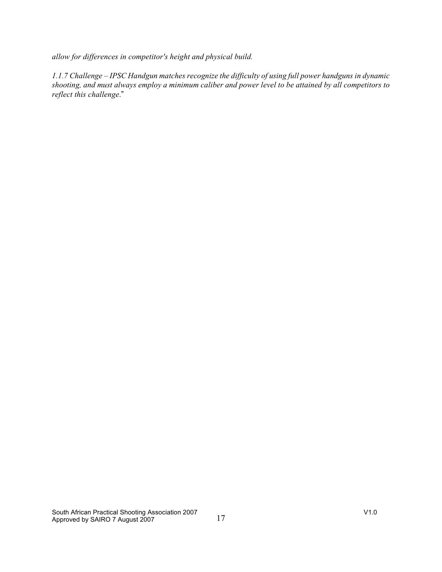*allow for differences in competitor's height and physical build.*

*1.1.7 Challenge – IPSC Handgun matches recognize the difficulty of using full power handguns in dynamic shooting, and must always employ a minimum caliber and power level to be attained by all competitors to reflect this challenge*."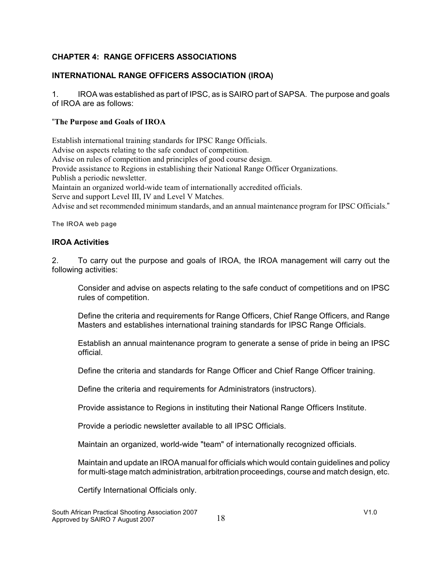### **CHAPTER 4: RANGE OFFICERS ASSOCIATIONS**

### **INTERNATIONAL RANGE OFFICERS ASSOCIATION (IROA)**

1. IROA was established as part of IPSC, as is SAIRO part of SAPSA. The purpose and goals of IROA are as follows:

### "**The Purpose and Goals of IROA**

Establish international training standards for IPSC Range Officials. Advise on aspects relating to the safe conduct of competition. Advise on rules of competition and principles of good course design. Provide assistance to Regions in establishing their National Range Officer Organizations. Publish a periodic newsletter. Maintain an organized world-wide team of internationally accredited officials. Serve and support Level III, IV and Level V Matches. Advise and set recommended minimum standards, and an annual maintenance program for IPSC Officials."

The IROA web page

### **IROA Activities**

2. To carry out the purpose and goals of IROA, the IROA management will carry out the following activities:

Consider and advise on aspects relating to the safe conduct of competitions and on IPSC rules of competition.

Define the criteria and requirements for Range Officers, Chief Range Officers, and Range Masters and establishes international training standards for IPSC Range Officials.

Establish an annual maintenance program to generate a sense of pride in being an IPSC official.

Define the criteria and standards for Range Officer and Chief Range Officer training.

Define the criteria and requirements for Administrators (instructors).

Provide assistance to Regions in instituting their National Range Officers Institute.

Provide a periodic newsletter available to all IPSC Officials.

Maintain an organized, world-wide "team" of internationally recognized officials.

Maintain and update an IROA manual for officials which would contain guidelines and policy for multi-stage match administration, arbitration proceedings, course and match design, etc.

Certify International Officials only.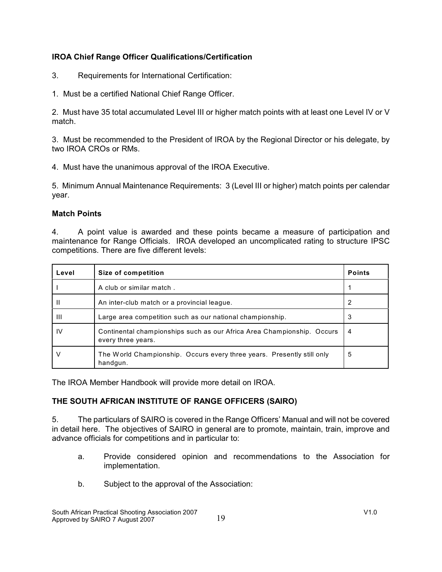### **IROA Chief Range Officer Qualifications/Certification**

- 3. Requirements for International Certification:
- 1. Must be a certified National Chief Range Officer.

2. Must have 35 total accumulated Level III or higher match points with at least one Level IV or V match.

3. Must be recommended to the President of IROA by the Regional Director or his delegate, by two IROA CROs or RMs.

4. Must have the unanimous approval of the IROA Executive.

5. Minimum Annual Maintenance Requirements: 3 (Level III or higher) match points per calendar year.

### **Match Points**

4. A point value is awarded and these points became a measure of participation and maintenance for Range Officials. IROA developed an uncomplicated rating to structure IPSC competitions. There are five different levels:

| Level        | Size of competition                                                                          | <b>Points</b> |
|--------------|----------------------------------------------------------------------------------------------|---------------|
|              | A club or similar match.                                                                     |               |
| Ш            | An inter-club match or a provincial league.                                                  |               |
| $\mathbf{H}$ | Large area competition such as our national championship.                                    | 3             |
| IV           | Continental championships such as our Africa Area Championship. Occurs<br>every three years. | 4             |
| ν            | The World Championship. Occurs every three years. Presently still only<br>handgun.           | 5             |

The IROA Member Handbook will provide more detail on IROA.

### **THE SOUTH AFRICAN INSTITUTE OF RANGE OFFICERS (SAIRO)**

5. The particulars of SAIRO is covered in the Range Officers' Manual and will not be covered in detail here. The objectives of SAIRO in general are to promote, maintain, train, improve and advance officials for competitions and in particular to:

- a. Provide considered opinion and recommendations to the Association for implementation.
- b. Subject to the approval of the Association: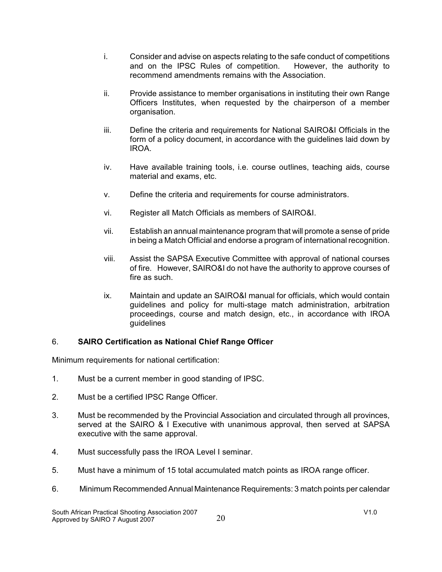- i. Consider and advise on aspects relating to the safe conduct of competitions<br>and on the IPSC Rules of competition. However, the authority to and on the IPSC Rules of competition. recommend amendments remains with the Association.
- ii. Provide assistance to member organisations in instituting their own Range Officers Institutes, when requested by the chairperson of a member organisation.
- iii. Define the criteria and requirements for National SAIRO&I Officials in the form of a policy document, in accordance with the guidelines laid down by IROA.
- iv. Have available training tools, i.e. course outlines, teaching aids, course material and exams, etc.
- v. Define the criteria and requirements for course administrators.
- vi. Register all Match Officials as members of SAIRO&I.
- vii. Establish an annual maintenance program that will promote a sense of pride in being a Match Official and endorse a program of international recognition.
- viii. Assist the SAPSA Executive Committee with approval of national courses of fire. However, SAIRO&I do not have the authority to approve courses of fire as such.
- ix. Maintain and update an SAIRO&I manual for officials, which would contain guidelines and policy for multi-stage match administration, arbitration proceedings, course and match design, etc., in accordance with IROA guidelines

### 6. **SAIRO Certification as National Chief Range Officer**

Minimum requirements for national certification:

- 1. Must be a current member in good standing of IPSC.
- 2. Must be a certified IPSC Range Officer.
- 3. Must be recommended by the Provincial Association and circulated through all provinces, served at the SAIRO & I Executive with unanimous approval, then served at SAPSA executive with the same approval.
- 4. Must successfully pass the IROA Level I seminar.
- 5. Must have a minimum of 15 total accumulated match points as IROA range officer.
- 6. Minimum Recommended Annual Maintenance Requirements: 3 match points per calendar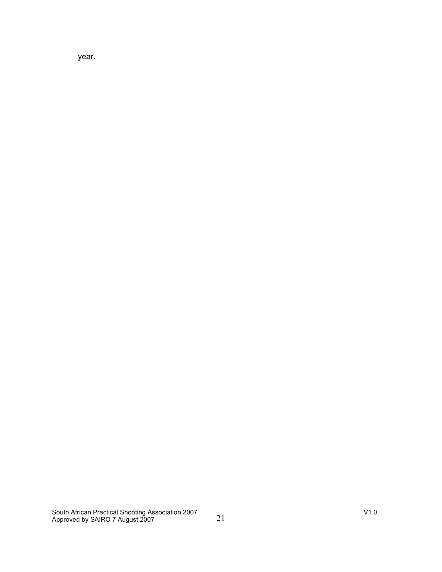year.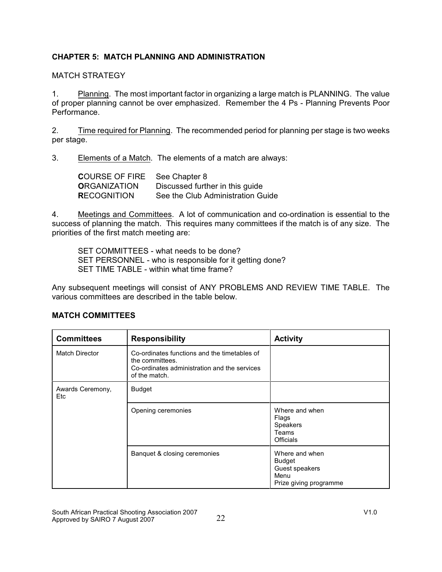### **CHAPTER 5: MATCH PLANNING AND ADMINISTRATION**

### MATCH STRATEGY

1. Planning. The most important factor in organizing a large match is PLANNING. The value of proper planning cannot be over emphasized. Remember the 4 Ps - Planning Prevents Poor Performance.

2. Time required for Planning. The recommended period for planning per stage is two weeks per stage.

3. Elements of a Match. The elements of a match are always:

| <b>COURSE OF FIRE</b> | See Chapter 8                     |
|-----------------------|-----------------------------------|
| <b>ORGANIZATION</b>   | Discussed further in this guide   |
| <b>RECOGNITION</b>    | See the Club Administration Guide |

4. Meetings and Committees. A lot of communication and co-ordination is essential to the success of planning the match. This requires many committees if the match is of any size. The priorities of the first match meeting are:

SET COMMITTEES - what needs to be done? SET PERSONNEL - who is responsible for it getting done? SET TIME TABLE - within what time frame?

Any subsequent meetings will consist of ANY PROBLEMS AND REVIEW TIME TABLE. The various committees are described in the table below.

| <b>Committees</b>       | <b>Responsibility</b>                                                                                                            | <b>Activity</b>                                                                     |
|-------------------------|----------------------------------------------------------------------------------------------------------------------------------|-------------------------------------------------------------------------------------|
| <b>Match Director</b>   | Co-ordinates functions and the timetables of<br>the committees.<br>Co-ordinates administration and the services<br>of the match. |                                                                                     |
| Awards Ceremony,<br>Etc | <b>Budget</b>                                                                                                                    |                                                                                     |
|                         | Opening ceremonies                                                                                                               | Where and when<br>Flags<br><b>Speakers</b><br>Teams<br><b>Officials</b>             |
|                         | Banquet & closing ceremonies                                                                                                     | Where and when<br><b>Budget</b><br>Guest speakers<br>Menu<br>Prize giving programme |

### **MATCH COMMITTEES**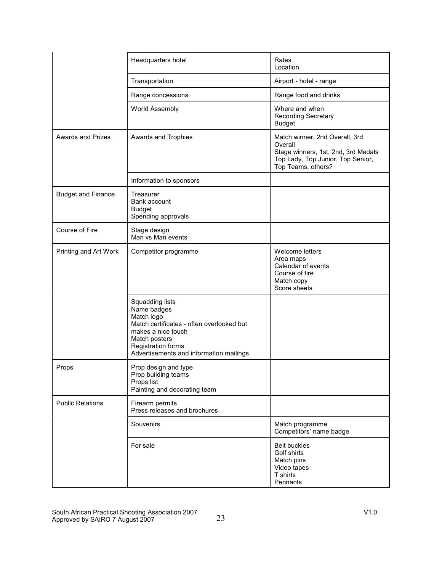|                           | Headquarters hotel                                                                                                                                                                                | Rates<br>Location                                                                                                                           |
|---------------------------|---------------------------------------------------------------------------------------------------------------------------------------------------------------------------------------------------|---------------------------------------------------------------------------------------------------------------------------------------------|
|                           | Transportation                                                                                                                                                                                    | Airport - hotel - range                                                                                                                     |
|                           | Range concessions                                                                                                                                                                                 | Range food and drinks                                                                                                                       |
|                           | World Assembly                                                                                                                                                                                    | Where and when<br><b>Recording Secretary</b><br><b>Budget</b>                                                                               |
| <b>Awards and Prizes</b>  | Awards and Trophies                                                                                                                                                                               | Match winner, 2nd Overall, 3rd<br>Overall<br>Stage winners, 1st, 2nd, 3rd Medals<br>Top Lady, Top Junior, Top Senior,<br>Top Teams, others? |
|                           | Information to sponsors                                                                                                                                                                           |                                                                                                                                             |
| <b>Budget and Finance</b> | Treasurer<br>Bank account<br><b>Budget</b><br>Spending approvals                                                                                                                                  |                                                                                                                                             |
| Course of Fire            | Stage design<br>Man vs Man events                                                                                                                                                                 |                                                                                                                                             |
| Printing and Art Work     | Competitor programme                                                                                                                                                                              | Welcome letters<br>Area maps<br>Calendar of events<br>Course of fire<br>Match copy<br>Score sheets                                          |
|                           | Squadding lists<br>Name badges<br>Match logo<br>Match certificates - often overlooked but<br>makes a nice touch<br>Match posters<br>Registration forms<br>Advertisements and information mailings |                                                                                                                                             |
| Props                     | Prop design and type<br>Prop building teams<br>Props list<br>Painting and decorating team                                                                                                         |                                                                                                                                             |
| <b>Public Relations</b>   | Firearm permits<br>Press releases and brochures                                                                                                                                                   |                                                                                                                                             |
|                           | Souvenirs                                                                                                                                                                                         | Match programme<br>Competitors' name badge                                                                                                  |
|                           | For sale                                                                                                                                                                                          | <b>Belt buckles</b><br>Golf shirts<br>Match pins<br>Video tapes<br>T shirts<br>Pennants                                                     |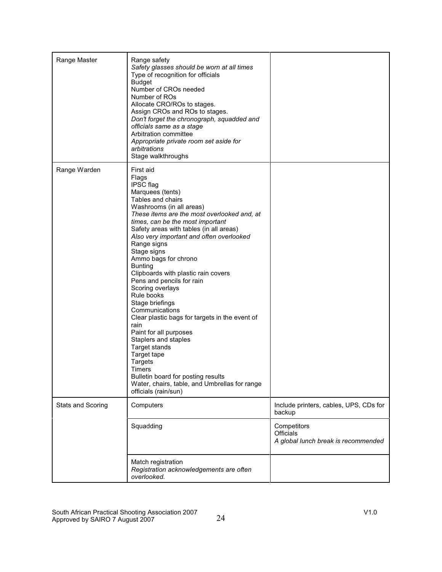| Range Master             | Range safety<br>Safety glasses should be worn at all times<br>Type of recognition for officials<br><b>Budget</b><br>Number of CROs needed<br>Number of ROs<br>Allocate CRO/ROs to stages.<br>Assign CROs and ROs to stages.<br>Don't forget the chronograph, squadded and<br>officials same as a stage<br>Arbitration committee<br>Appropriate private room set aside for<br>arbitrations<br>Stage walkthroughs                                                                                                                                                                                                                                                                                                                                                                                        |                                                                 |
|--------------------------|--------------------------------------------------------------------------------------------------------------------------------------------------------------------------------------------------------------------------------------------------------------------------------------------------------------------------------------------------------------------------------------------------------------------------------------------------------------------------------------------------------------------------------------------------------------------------------------------------------------------------------------------------------------------------------------------------------------------------------------------------------------------------------------------------------|-----------------------------------------------------------------|
| Range Warden             | First aid<br>Flags<br><b>IPSC</b> flag<br>Marquees (tents)<br>Tables and chairs<br>Washrooms (in all areas)<br>These items are the most overlooked and, at<br>times, can be the most important<br>Safety areas with tables (in all areas)<br>Also very important and often overlooked<br>Range signs<br>Stage signs<br>Ammo bags for chrono<br><b>Bunting</b><br>Clipboards with plastic rain covers<br>Pens and pencils for rain<br>Scoring overlays<br>Rule books<br>Stage briefings<br>Communications<br>Clear plastic bags for targets in the event of<br>rain<br>Paint for all purposes<br>Staplers and staples<br>Target stands<br>Target tape<br><b>Targets</b><br><b>Timers</b><br>Bulletin board for posting results<br>Water, chairs, table, and Umbrellas for range<br>officials (rain/sun) |                                                                 |
| <b>Stats and Scoring</b> | Computers                                                                                                                                                                                                                                                                                                                                                                                                                                                                                                                                                                                                                                                                                                                                                                                              | Include printers, cables, UPS, CDs for<br>backup                |
|                          | Squadding                                                                                                                                                                                                                                                                                                                                                                                                                                                                                                                                                                                                                                                                                                                                                                                              | Competitors<br>Officials<br>A global lunch break is recommended |
|                          | Match registration<br>Registration acknowledgements are often<br>overlooked.                                                                                                                                                                                                                                                                                                                                                                                                                                                                                                                                                                                                                                                                                                                           |                                                                 |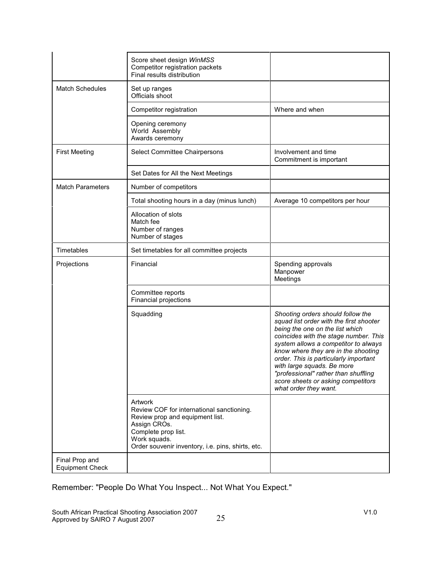|                                          | Score sheet design WinMSS<br>Competitor registration packets<br>Final results distribution                                                                                                          |                                                                                                                                                                                                                                                                                                                                                                                                                       |
|------------------------------------------|-----------------------------------------------------------------------------------------------------------------------------------------------------------------------------------------------------|-----------------------------------------------------------------------------------------------------------------------------------------------------------------------------------------------------------------------------------------------------------------------------------------------------------------------------------------------------------------------------------------------------------------------|
| <b>Match Schedules</b>                   | Set up ranges<br>Officials shoot                                                                                                                                                                    |                                                                                                                                                                                                                                                                                                                                                                                                                       |
|                                          | Competitor registration                                                                                                                                                                             | Where and when                                                                                                                                                                                                                                                                                                                                                                                                        |
|                                          | Opening ceremony<br>World Assembly<br>Awards ceremony                                                                                                                                               |                                                                                                                                                                                                                                                                                                                                                                                                                       |
| <b>First Meeting</b>                     | Select Committee Chairpersons                                                                                                                                                                       | Involvement and time<br>Commitment is important                                                                                                                                                                                                                                                                                                                                                                       |
|                                          | Set Dates for All the Next Meetings                                                                                                                                                                 |                                                                                                                                                                                                                                                                                                                                                                                                                       |
| <b>Match Parameters</b>                  | Number of competitors                                                                                                                                                                               |                                                                                                                                                                                                                                                                                                                                                                                                                       |
|                                          | Total shooting hours in a day (minus lunch)                                                                                                                                                         | Average 10 competitors per hour                                                                                                                                                                                                                                                                                                                                                                                       |
|                                          | Allocation of slots<br>Match fee<br>Number of ranges<br>Number of stages                                                                                                                            |                                                                                                                                                                                                                                                                                                                                                                                                                       |
| Timetables                               | Set timetables for all committee projects                                                                                                                                                           |                                                                                                                                                                                                                                                                                                                                                                                                                       |
| Projections                              | Financial                                                                                                                                                                                           | Spending approvals<br>Manpower<br>Meetings                                                                                                                                                                                                                                                                                                                                                                            |
|                                          | Committee reports<br>Financial projections                                                                                                                                                          |                                                                                                                                                                                                                                                                                                                                                                                                                       |
|                                          | Squadding                                                                                                                                                                                           | Shooting orders should follow the<br>squad list order with the first shooter<br>being the one on the list which<br>coincides with the stage number. This<br>system allows a competitor to always<br>know where they are in the shooting<br>order. This is particularly important<br>with large squads. Be more<br>"professional" rather than shuffling<br>score sheets or asking competitors<br>what order they want. |
|                                          | Artwork<br>Review COF for international sanctioning.<br>Review prop and equipment list.<br>Assign CROs.<br>Complete prop list.<br>Work squads.<br>Order souvenir inventory, i.e. pins, shirts, etc. |                                                                                                                                                                                                                                                                                                                                                                                                                       |
| Final Prop and<br><b>Equipment Check</b> |                                                                                                                                                                                                     |                                                                                                                                                                                                                                                                                                                                                                                                                       |

Remember: "People Do What You Inspect... Not What You Expect."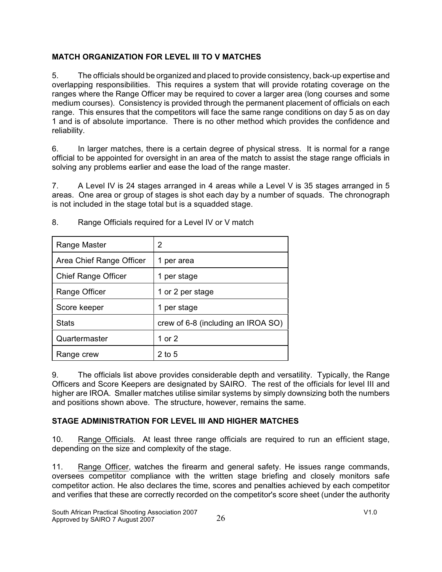### **MATCH ORGANIZATION FOR LEVEL III TO V MATCHES**

5. The officials should be organized and placed to provide consistency, back-up expertise and overlapping responsibilities. This requires a system that will provide rotating coverage on the ranges where the Range Officer may be required to cover a larger area (long courses and some medium courses). Consistency is provided through the permanent placement of officials on each range. This ensures that the competitors will face the same range conditions on day 5 as on day 1 and is of absolute importance. There is no other method which provides the confidence and reliability.

6. In larger matches, there is a certain degree of physical stress. It is normal for a range official to be appointed for oversight in an area of the match to assist the stage range officials in solving any problems earlier and ease the load of the range master.

7. A Level IV is 24 stages arranged in 4 areas while a Level V is 35 stages arranged in 5 areas. One area or group of stages is shot each day by a number of squads. The chronograph is not included in the stage total but is a squadded stage.

| Range Master               | 2                                  |
|----------------------------|------------------------------------|
| Area Chief Range Officer   | per area<br>1                      |
| <b>Chief Range Officer</b> | per stage                          |
| Range Officer              | 1 or 2 per stage                   |
| Score keeper               | per stage                          |
| <b>Stats</b>               | crew of 6-8 (including an IROA SO) |
| Quartermaster              | 1 or 2                             |
| Range crew                 | $2$ to 5                           |

8. Range Officials required for a Level IV or V match

9. The officials list above provides considerable depth and versatility. Typically, the Range Officers and Score Keepers are designated by SAIRO. The rest of the officials for level III and higher are IROA. Smaller matches utilise similar systems by simply downsizing both the numbers and positions shown above. The structure, however, remains the same.

# **STAGE ADMINISTRATION FOR LEVEL III AND HIGHER MATCHES**

10. Range Officials. At least three range officials are required to run an efficient stage, depending on the size and complexity of the stage.

11. Range Officer, watches the firearm and general safety. He issues range commands, oversees competitor compliance with the written stage briefing and closely monitors safe competitor action. He also declares the time, scores and penalties achieved by each competitor and verifies that these are correctly recorded on the competitor's score sheet (under the authority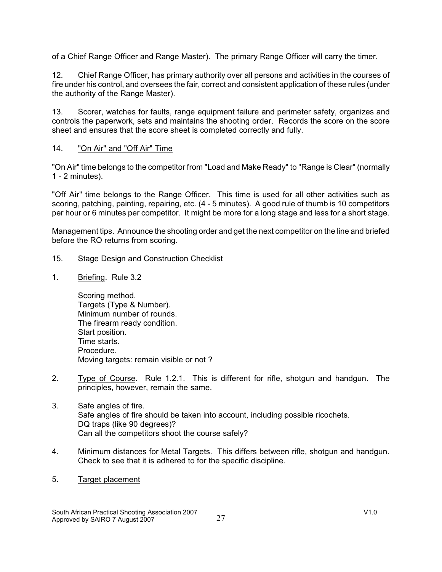of a Chief Range Officer and Range Master). The primary Range Officer will carry the timer.

12. Chief Range Officer, has primary authority over all persons and activities in the courses of fire under his control, and oversees the fair, correct and consistent application of these rules (under the authority of the Range Master).

13. Scorer, watches for faults, range equipment failure and perimeter safety, organizes and controls the paperwork, sets and maintains the shooting order. Records the score on the score sheet and ensures that the score sheet is completed correctly and fully.

### 14. "On Air" and "Off Air" Time

"On Air" time belongs to the competitor from "Load and Make Ready" to "Range is Clear" (normally 1 - 2 minutes).

"Off Air" time belongs to the Range Officer. This time is used for all other activities such as scoring, patching, painting, repairing, etc. (4 - 5 minutes). A good rule of thumb is 10 competitors per hour or 6 minutes per competitor. It might be more for a long stage and less for a short stage.

Management tips. Announce the shooting order and get the next competitor on the line and briefed before the RO returns from scoring.

- 15. Stage Design and Construction Checklist
- 1. Briefing. Rule 3.2

Scoring method. Targets (Type & Number). Minimum number of rounds. The firearm ready condition. Start position. Time starts. Procedure. Moving targets: remain visible or not ?

- 2. Type of Course. Rule 1.2.1. This is different for rifle, shotgun and handgun. The principles, however, remain the same.
- 3. Safe angles of fire. Safe angles of fire should be taken into account, including possible ricochets. DQ traps (like 90 degrees)? Can all the competitors shoot the course safely?
- 4. Minimum distances for Metal Targets. This differs between rifle, shotgun and handgun. Check to see that it is adhered to for the specific discipline.
- 5. Target placement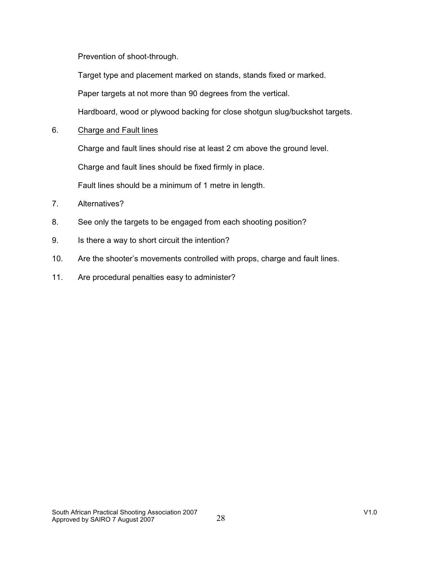Prevention of shoot-through.

Target type and placement marked on stands, stands fixed or marked.

Paper targets at not more than 90 degrees from the vertical.

Hardboard, wood or plywood backing for close shotgun slug/buckshot targets.

6. Charge and Fault lines

Charge and fault lines should rise at least 2 cm above the ground level.

Charge and fault lines should be fixed firmly in place.

Fault lines should be a minimum of 1 metre in length.

- 7. Alternatives?
- 8. See only the targets to be engaged from each shooting position?
- 9. Is there a way to short circuit the intention?
- 10. Are the shooter's movements controlled with props, charge and fault lines.
- 11. Are procedural penalties easy to administer?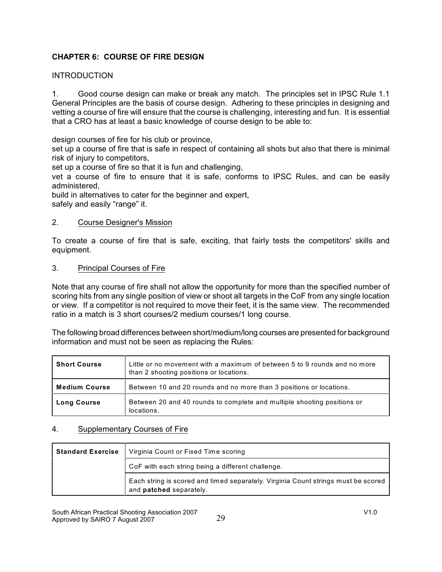### **CHAPTER 6: COURSE OF FIRE DESIGN**

### INTRODUCTION

1. Good course design can make or break any match. The principles set in IPSC Rule 1.1 General Principles are the basis of course design. Adhering to these principles in designing and vetting a course of fire will ensure that the course is challenging, interesting and fun. It is essential that a CRO has at least a basic knowledge of course design to be able to:

design courses of fire for his club or province,

set up a course of fire that is safe in respect of containing all shots but also that there is minimal risk of injury to competitors,

set up a course of fire so that it is fun and challenging,

vet a course of fire to ensure that it is safe, conforms to IPSC Rules, and can be easily administered,

build in alternatives to cater for the beginner and expert, safely and easily "range" it.

### 2. Course Designer's Mission

To create a course of fire that is safe, exciting, that fairly tests the competitors' skills and equipment.

### 3. Principal Courses of Fire

Note that any course of fire shall not allow the opportunity for more than the specified number of scoring hits from any single position of view or shoot all targets in the CoF from any single location or view. If a competitor is not required to move their feet, it is the same view. The recommended ratio in a match is 3 short courses/2 medium courses/1 long course.

The following broad differences between short/medium/long courses are presented for background information and must not be seen as replacing the Rules:

| <b>Short Course</b>  | Little or no movement with a maximum of between 5 to 9 rounds and no more<br>than 2 shooting positions or locations. |
|----------------------|----------------------------------------------------------------------------------------------------------------------|
| <b>Medium Course</b> | Between 10 and 20 rounds and no more than 3 positions or locations.                                                  |
| <b>Long Course</b>   | Between 20 and 40 rounds to complete and multiple shooting positions or<br>locations.                                |

### 4. Supplementary Courses of Fire

| <b>Standard Exercise</b> | Virginia Count or Fixed Time scoring                                                                         |
|--------------------------|--------------------------------------------------------------------------------------------------------------|
|                          | CoF with each string being a different challenge.                                                            |
|                          | Each string is scored and timed separately. Virginia Count strings must be scored<br>and patched separately. |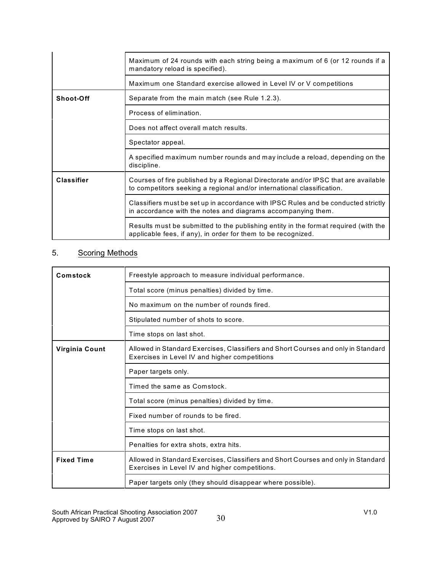|                   | Maximum of 24 rounds with each string being a maximum of 6 (or 12 rounds if a<br>mandatory reload is specified).                                             |
|-------------------|--------------------------------------------------------------------------------------------------------------------------------------------------------------|
|                   | Maximum one Standard exercise allowed in Level IV or V competitions                                                                                          |
| Shoot-Off         | Separate from the main match (see Rule 1.2.3).                                                                                                               |
|                   | Process of elimination.                                                                                                                                      |
|                   | Does not affect overall match results.                                                                                                                       |
|                   | Spectator appeal.                                                                                                                                            |
|                   | A specified maximum number rounds and may include a reload, depending on the<br>discipline.                                                                  |
| <b>Classifier</b> | Courses of fire published by a Regional Directorate and/or IPSC that are available<br>to competitors seeking a regional and/or international classification. |
|                   | Classifiers must be set up in accordance with IPSC Rules and be conducted strictly<br>in accordance with the notes and diagrams accompanying them.           |
|                   | Results must be submitted to the publishing entity in the format required (with the<br>applicable fees, if any), in order for them to be recognized.         |

# 5. Scoring Methods

| Comstock          | Freestyle approach to measure individual performance.                                                                               |  |  |  |  |  |  |  |
|-------------------|-------------------------------------------------------------------------------------------------------------------------------------|--|--|--|--|--|--|--|
|                   | Total score (minus penalties) divided by time.                                                                                      |  |  |  |  |  |  |  |
|                   | No maximum on the number of rounds fired.                                                                                           |  |  |  |  |  |  |  |
|                   | Stipulated number of shots to score.                                                                                                |  |  |  |  |  |  |  |
|                   | Time stops on last shot.                                                                                                            |  |  |  |  |  |  |  |
| Virginia Count    | Allowed in Standard Exercises, Classifiers and Short Courses and only in Standard<br>Exercises in Level IV and higher competitions  |  |  |  |  |  |  |  |
|                   | Paper targets only.                                                                                                                 |  |  |  |  |  |  |  |
|                   | Timed the same as Comstock.                                                                                                         |  |  |  |  |  |  |  |
|                   | Total score (minus penalties) divided by time.                                                                                      |  |  |  |  |  |  |  |
|                   | Fixed number of rounds to be fired.                                                                                                 |  |  |  |  |  |  |  |
|                   | Time stops on last shot.                                                                                                            |  |  |  |  |  |  |  |
|                   | Penalties for extra shots, extra hits.                                                                                              |  |  |  |  |  |  |  |
| <b>Fixed Time</b> | Allowed in Standard Exercises, Classifiers and Short Courses and only in Standard<br>Exercises in Level IV and higher competitions. |  |  |  |  |  |  |  |
|                   | Paper targets only (they should disappear where possible).                                                                          |  |  |  |  |  |  |  |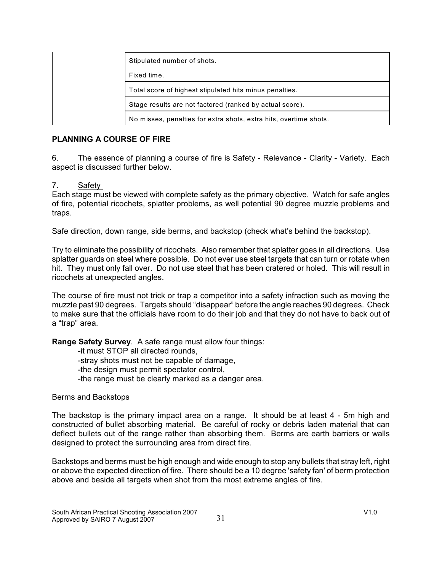|  | Stipulated number of shots.                                       |  |  |
|--|-------------------------------------------------------------------|--|--|
|  | Fixed time.                                                       |  |  |
|  | Total score of highest stipulated hits minus penalties.           |  |  |
|  | Stage results are not factored (ranked by actual score).          |  |  |
|  | No misses, penalties for extra shots, extra hits, overtime shots. |  |  |

### **PLANNING A COURSE OF FIRE**

6. The essence of planning a course of fire is Safety - Relevance - Clarity - Variety. Each aspect is discussed further below.

### 7. Safety

Each stage must be viewed with complete safety as the primary objective. Watch for safe angles of fire, potential ricochets, splatter problems, as well potential 90 degree muzzle problems and traps.

Safe direction, down range, side berms, and backstop (check what's behind the backstop).

Try to eliminate the possibility of ricochets. Also remember that splatter goes in all directions. Use splatter guards on steel where possible. Do not ever use steel targets that can turn or rotate when hit. They must only fall over. Do not use steel that has been cratered or holed. This will result in ricochets at unexpected angles.

The course of fire must not trick or trap a competitor into a safety infraction such as moving the muzzle past 90 degrees. Targets should "disappear" before the angle reaches 90 degrees. Check to make sure that the officials have room to do their job and that they do not have to back out of a "trap" area.

**Range Safety Survey**. A safe range must allow four things:

-it must STOP all directed rounds, -stray shots must not be capable of damage, -the design must permit spectator control, -the range must be clearly marked as a danger area.

Berms and Backstops

The backstop is the primary impact area on a range. It should be at least 4 - 5m high and constructed of bullet absorbing material. Be careful of rocky or debris laden material that can deflect bullets out of the range rather than absorbing them. Berms are earth barriers or walls designed to protect the surrounding area from direct fire.

Backstops and berms must be high enough and wide enough to stop any bullets that stray left, right or above the expected direction of fire. There should be a 10 degree 'safety fan' of berm protection above and beside all targets when shot from the most extreme angles of fire.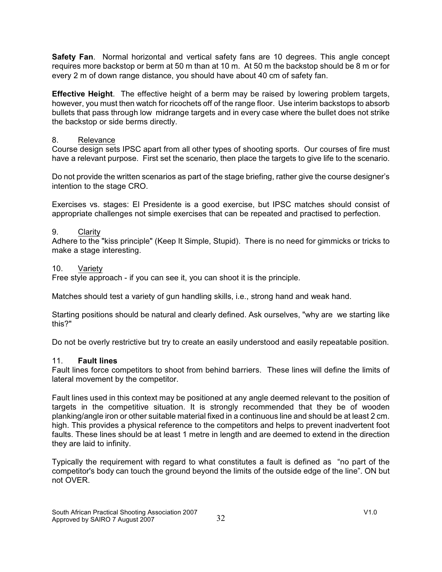**Safety Fan**. Normal horizontal and vertical safety fans are 10 degrees. This angle concept requires more backstop or berm at 50 m than at 10 m. At 50 m the backstop should be 8 m or for every 2 m of down range distance, you should have about 40 cm of safety fan.

**Effective Height**. The effective height of a berm may be raised by lowering problem targets, however, you must then watch for ricochets off of the range floor. Use interim backstops to absorb bullets that pass through low midrange targets and in every case where the bullet does not strike the backstop or side berms directly.

### 8. Relevance

Course design sets IPSC apart from all other types of shooting sports. Our courses of fire must have a relevant purpose. First set the scenario, then place the targets to give life to the scenario.

Do not provide the written scenarios as part of the stage briefing, rather give the course designer's intention to the stage CRO.

Exercises vs. stages: El Presidente is a good exercise, but IPSC matches should consist of appropriate challenges not simple exercises that can be repeated and practised to perfection.

### 9. Clarity

Adhere to the "kiss principle" (Keep It Simple, Stupid). There is no need for gimmicks or tricks to make a stage interesting.

#### 10. Variety

Free style approach - if you can see it, you can shoot it is the principle.

Matches should test a variety of gun handling skills, i.e., strong hand and weak hand.

Starting positions should be natural and clearly defined. Ask ourselves, "why are we starting like this?"

Do not be overly restrictive but try to create an easily understood and easily repeatable position.

### 11. **Fault lines**

Fault lines force competitors to shoot from behind barriers. These lines will define the limits of lateral movement by the competitor.

Fault lines used in this context may be positioned at any angle deemed relevant to the position of targets in the competitive situation. It is strongly recommended that they be of wooden planking/angle iron or other suitable material fixed in a continuous line and should be at least 2 cm. high. This provides a physical reference to the competitors and helps to prevent inadvertent foot faults. These lines should be at least 1 metre in length and are deemed to extend in the direction they are laid to infinity.

Typically the requirement with regard to what constitutes a fault is defined as "no part of the competitor's body can touch the ground beyond the limits of the outside edge of the line". ON but not OVER.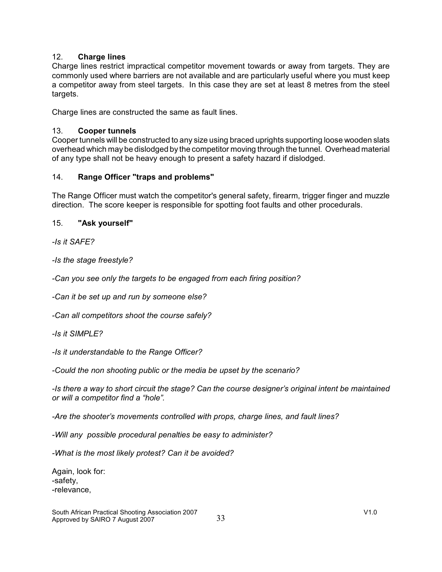### 12. **Charge lines**

Charge lines restrict impractical competitor movement towards or away from targets. They are commonly used where barriers are not available and are particularly useful where you must keep a competitor away from steel targets. In this case they are set at least 8 metres from the steel targets.

Charge lines are constructed the same as fault lines.

### 13. **Cooper tunnels**

Cooper tunnels will be constructed to any size using braced uprights supporting loose wooden slats overhead which may be dislodged by the competitor moving through the tunnel. Overhead material of any type shall not be heavy enough to present a safety hazard if dislodged.

### 14. **Range Officer "traps and problems"**

The Range Officer must watch the competitor's general safety, firearm, trigger finger and muzzle direction. The score keeper is responsible for spotting foot faults and other procedurals.

### 15. **"Ask yourself"**

*-Is it SAFE?*

*-Is the stage freestyle?*

*-Can you see only the targets to be engaged from each firing position?* 

*-Can it be set up and run by someone else?*

*-Can all competitors shoot the course safely?*

*-Is it SIMPLE?*

*-Is it understandable to the Range Officer?*

*-Could the non shooting public or the media be upset by the scenario?*

*-Is there a way to short circuit the stage? Can the course designer's original intent be maintained or will a competitor find a "hole".*

*-Are the shooter's movements controlled with props, charge lines, and fault lines?*

*-Will any possible procedural penalties be easy to administer?*

*-What is the most likely protest? Can it be avoided?*

Again, look for: -safety, -relevance,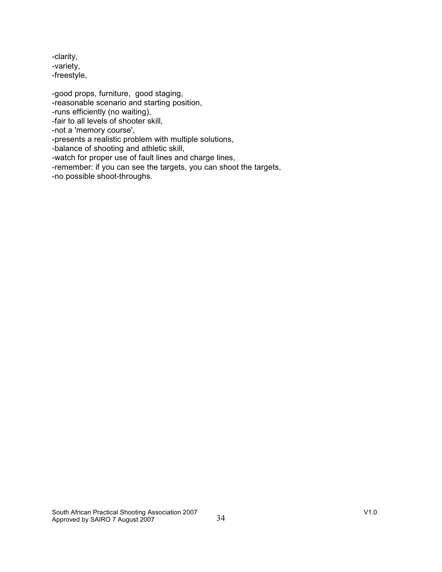-clarity, -variety, -freestyle,

-good props, furniture, good staging, -reasonable scenario and starting position, -runs efficiently (no waiting), -fair to all levels of shooter skill, -not a 'memory course', -presents a realistic problem with multiple solutions, -balance of shooting and athletic skill, -watch for proper use of fault lines and charge lines,

-remember: if you can see the targets, you can shoot the targets,

-no possible shoot-throughs.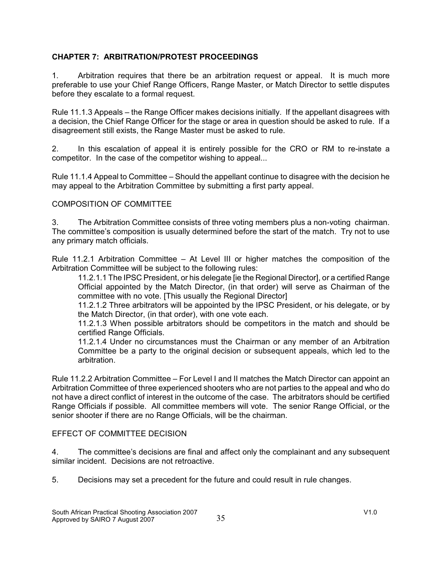### **CHAPTER 7: ARBITRATION/PROTEST PROCEEDINGS**

1. Arbitration requires that there be an arbitration request or appeal. It is much more preferable to use your Chief Range Officers, Range Master, or Match Director to settle disputes before they escalate to a formal request.

Rule 11.1.3 Appeals – the Range Officer makes decisions initially. If the appellant disagrees with a decision, the Chief Range Officer for the stage or area in question should be asked to rule. If a disagreement still exists, the Range Master must be asked to rule.

2. In this escalation of appeal it is entirely possible for the CRO or RM to re-instate a competitor. In the case of the competitor wishing to appeal...

Rule 11.1.4 Appeal to Committee – Should the appellant continue to disagree with the decision he may appeal to the Arbitration Committee by submitting a first party appeal.

### COMPOSITION OF COMMITTEE

3. The Arbitration Committee consists of three voting members plus a non-voting chairman. The committee's composition is usually determined before the start of the match. Try not to use any primary match officials.

Rule 11.2.1 Arbitration Committee – At Level III or higher matches the composition of the Arbitration Committee will be subject to the following rules:

11.2.1.1 The IPSC President, or his delegate [ie the Regional Director], or a certified Range Official appointed by the Match Director, (in that order) will serve as Chairman of the committee with no vote. [This usually the Regional Director]

11.2.1.2 Three arbitrators will be appointed by the IPSC President, or his delegate, or by the Match Director, (in that order), with one vote each.

11.2.1.3 When possible arbitrators should be competitors in the match and should be certified Range Officials.

11.2.1.4 Under no circumstances must the Chairman or any member of an Arbitration Committee be a party to the original decision or subsequent appeals, which led to the arbitration.

Rule 11.2.2 Arbitration Committee – For Level I and II matches the Match Director can appoint an Arbitration Committee of three experienced shooters who are not parties to the appeal and who do not have a direct conflict of interest in the outcome of the case. The arbitrators should be certified Range Officials if possible. All committee members will vote. The senior Range Official, or the senior shooter if there are no Range Officials, will be the chairman.

### EFFECT OF COMMITTEE DECISION

4. The committee's decisions are final and affect only the complainant and any subsequent similar incident. Decisions are not retroactive.

5. Decisions may set a precedent for the future and could result in rule changes.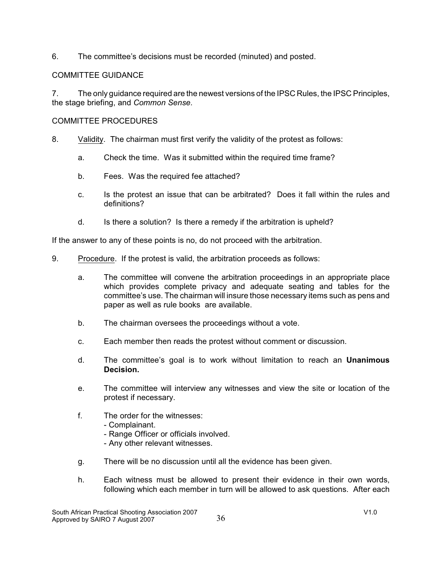6. The committee's decisions must be recorded (minuted) and posted.

### COMMITTEE GUIDANCE

7. The only guidance required are the newest versions of the IPSC Rules, the IPSC Principles, the stage briefing, and *Common Sense*.

### COMMITTEE PROCEDURES

- 8. Validity. The chairman must first verify the validity of the protest as follows:
	- a. Check the time. Was it submitted within the required time frame?
	- b. Fees. Was the required fee attached?
	- c. Is the protest an issue that can be arbitrated? Does it fall within the rules and definitions?
	- d. Is there a solution? Is there a remedy if the arbitration is upheld?

If the answer to any of these points is no, do not proceed with the arbitration.

- 9. Procedure. If the protest is valid, the arbitration proceeds as follows:
	- a. The committee will convene the arbitration proceedings in an appropriate place which provides complete privacy and adequate seating and tables for the committee's use. The chairman will insure those necessary items such as pens and paper as well as rule books are available.
	- b. The chairman oversees the proceedings without a vote.
	- c. Each member then reads the protest without comment or discussion.
	- d. The committee's goal is to work without limitation to reach an **Unanimous Decision.**
	- e. The committee will interview any witnesses and view the site or location of the protest if necessary.
	- f. The order for the witnesses:
		- Complainant.
		- Range Officer or officials involved.
		- Any other relevant witnesses.
	- g. There will be no discussion until all the evidence has been given.
	- h. Each witness must be allowed to present their evidence in their own words, following which each member in turn will be allowed to ask questions. After each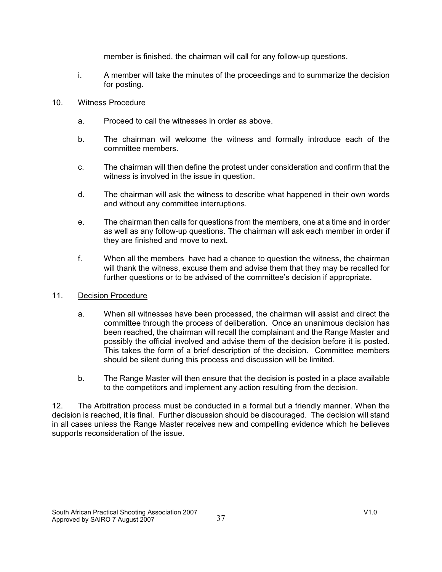member is finished, the chairman will call for any follow-up questions.

i. A member will take the minutes of the proceedings and to summarize the decision for posting.

### 10. Witness Procedure

- a. Proceed to call the witnesses in order as above.
- b. The chairman will welcome the witness and formally introduce each of the committee members.
- c. The chairman will then define the protest under consideration and confirm that the witness is involved in the issue in question.
- d. The chairman will ask the witness to describe what happened in their own words and without any committee interruptions.
- e. The chairman then calls for questions from the members, one at a time and in order as well as any follow-up questions. The chairman will ask each member in order if they are finished and move to next.
- f. When all the members have had a chance to question the witness, the chairman will thank the witness, excuse them and advise them that they may be recalled for further questions or to be advised of the committee's decision if appropriate.

### 11. Decision Procedure

- a. When all witnesses have been processed, the chairman will assist and direct the committee through the process of deliberation. Once an unanimous decision has been reached, the chairman will recall the complainant and the Range Master and possibly the official involved and advise them of the decision before it is posted. This takes the form of a brief description of the decision. Committee members should be silent during this process and discussion will be limited.
- b. The Range Master will then ensure that the decision is posted in a place available to the competitors and implement any action resulting from the decision.

12. The Arbitration process must be conducted in a formal but a friendly manner. When the decision is reached, it is final. Further discussion should be discouraged. The decision will stand in all cases unless the Range Master receives new and compelling evidence which he believes supports reconsideration of the issue.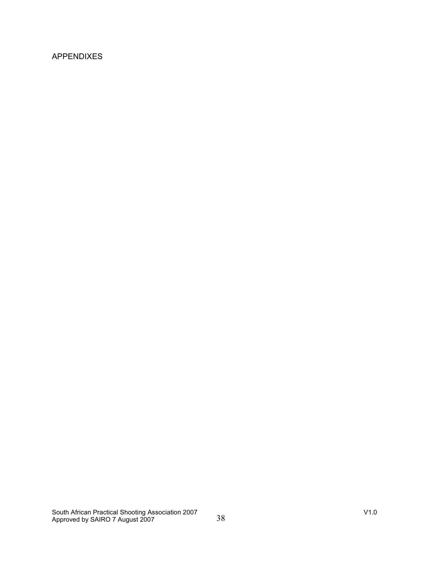### APPENDIXES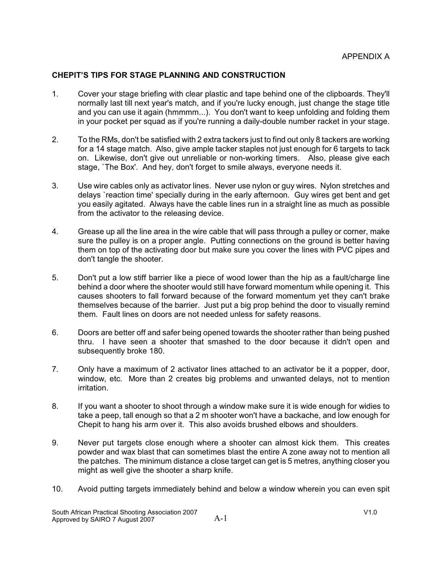### **CHEPIT'S TIPS FOR STAGE PLANNING AND CONSTRUCTION**

- 1. Cover your stage briefing with clear plastic and tape behind one of the clipboards. They'll normally last till next year's match, and if you're lucky enough, just change the stage title and you can use it again (hmmmm...). You don't want to keep unfolding and folding them in your pocket per squad as if you're running a daily-double number racket in your stage.
- 2. To the RMs, don't be satisfied with 2 extra tackers just to find out only 8 tackers are working for a 14 stage match. Also, give ample tacker staples not just enough for 6 targets to tack on. Likewise, don't give out unreliable or non-working timers. Also, please give each stage, `The Box'. And hey, don't forget to smile always, everyone needs it.
- 3. Use wire cables only as activator lines. Never use nylon or guy wires. Nylon stretches and delays `reaction time' specially during in the early afternoon. Guy wires get bent and get you easily agitated. Always have the cable lines run in a straight line as much as possible from the activator to the releasing device.
- 4. Grease up all the line area in the wire cable that will pass through a pulley or corner, make sure the pulley is on a proper angle. Putting connections on the ground is better having them on top of the activating door but make sure you cover the lines with PVC pipes and don't tangle the shooter.
- 5. Don't put a low stiff barrier like a piece of wood lower than the hip as a fault/charge line behind a door where the shooter would still have forward momentum while opening it. This causes shooters to fall forward because of the forward momentum yet they can't brake themselves because of the barrier. Just put a big prop behind the door to visually remind them. Fault lines on doors are not needed unless for safety reasons.
- 6. Doors are better off and safer being opened towards the shooter rather than being pushed thru. I have seen a shooter that smashed to the door because it didn't open and subsequently broke 180.
- 7. Only have a maximum of 2 activator lines attached to an activator be it a popper, door, window, etc. More than 2 creates big problems and unwanted delays, not to mention irritation.
- 8. If you want a shooter to shoot through a window make sure it is wide enough for widies to take a peep, tall enough so that a 2 m shooter won't have a backache, and low enough for Chepit to hang his arm over it. This also avoids brushed elbows and shoulders.
- 9. Never put targets close enough where a shooter can almost kick them. This creates powder and wax blast that can sometimes blast the entire A zone away not to mention all the patches. The minimum distance a close target can get is 5 metres, anything closer you might as well give the shooter a sharp knife.
- 10. Avoid putting targets immediately behind and below a window wherein you can even spit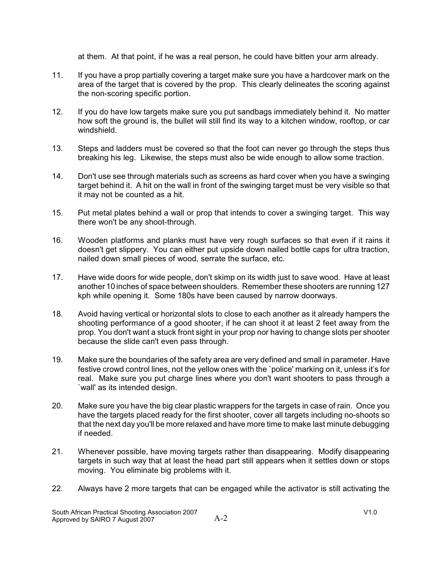at them. At that point, if he was a real person, he could have bitten your arm already.

- 11. If you have a prop partially covering a target make sure you have a hardcover mark on the area of the target that is covered by the prop. This clearly delineates the scoring against the non-scoring specific portion.
- 12. If you do have low targets make sure you put sandbags immediately behind it. No matter how soft the ground is, the bullet will still find its way to a kitchen window, rooftop, or car windshield.
- 13. Steps and ladders must be covered so that the foot can never go through the steps thus breaking his leg. Likewise, the steps must also be wide enough to allow some traction.
- 14. Don't use see through materials such as screens as hard cover when you have a swinging target behind it. A hit on the wall in front of the swinging target must be very visible so that it may not be counted as a hit.
- 15. Put metal plates behind a wall or prop that intends to cover a swinging target. This way there won't be any shoot-through.
- 16. Wooden platforms and planks must have very rough surfaces so that even if it rains it doesn't get slippery. You can either put upside down nailed bottle caps for ultra traction, nailed down small pieces of wood, serrate the surface, etc.
- 17. Have wide doors for wide people, don't skimp on its width just to save wood. Have at least another 10 inches of space between shoulders. Remember these shooters are running 127 kph while opening it. Some 180s have been caused by narrow doorways.
- 18. Avoid having vertical or horizontal slots to close to each another as it already hampers the shooting performance of a good shooter, if he can shoot it at least 2 feet away from the prop. You don't want a stuck front sight in your prop nor having to change slots per shooter because the slide can't even pass through.
- 19. Make sure the boundaries of the safety area are very defined and small in parameter. Have festive crowd control lines, not the yellow ones with the `police' marking on it, unless it's for real. Make sure you put charge lines where you don't want shooters to pass through a `wall' as its intended design.
- 20. Make sure you have the big clear plastic wrappers for the targets in case of rain. Once you have the targets placed ready for the first shooter, cover all targets including no-shoots so that the next day you'll be more relaxed and have more time to make last minute debugging if needed.
- 21. Whenever possible, have moving targets rather than disappearing. Modify disappearing targets in such way that at least the head part still appears when it settles down or stops moving. You eliminate big problems with it.
- 22. Always have 2 more targets that can be engaged while the activator is still activating the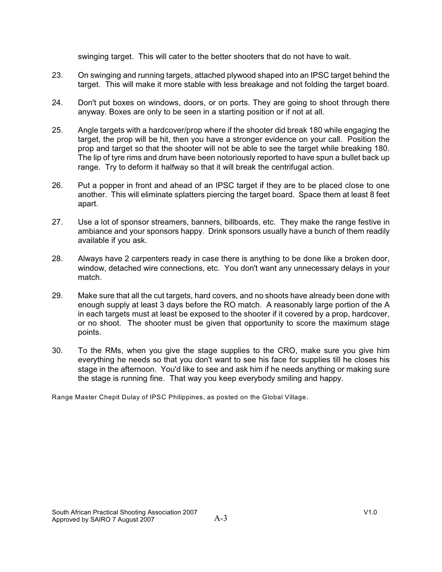swinging target. This will cater to the better shooters that do not have to wait.

- 23. On swinging and running targets, attached plywood shaped into an IPSC target behind the target. This will make it more stable with less breakage and not folding the target board.
- 24. Don't put boxes on windows, doors, or on ports. They are going to shoot through there anyway. Boxes are only to be seen in a starting position or if not at all.
- 25. Angle targets with a hardcover/prop where if the shooter did break 180 while engaging the target, the prop will be hit, then you have a stronger evidence on your call. Position the prop and target so that the shooter will not be able to see the target while breaking 180. The lip of tyre rims and drum have been notoriously reported to have spun a bullet back up range. Try to deform it halfway so that it will break the centrifugal action.
- 26. Put a popper in front and ahead of an IPSC target if they are to be placed close to one another. This will eliminate splatters piercing the target board. Space them at least 8 feet apart.
- 27. Use a lot of sponsor streamers, banners, billboards, etc. They make the range festive in ambiance and your sponsors happy. Drink sponsors usually have a bunch of them readily available if you ask.
- 28. Always have 2 carpenters ready in case there is anything to be done like a broken door, window, detached wire connections, etc. You don't want any unnecessary delays in your match.
- 29. Make sure that all the cut targets, hard covers, and no shoots have already been done with enough supply at least 3 days before the RO match. A reasonably large portion of the A in each targets must at least be exposed to the shooter if it covered by a prop, hardcover, or no shoot. The shooter must be given that opportunity to score the maximum stage points.
- 30. To the RMs, when you give the stage supplies to the CRO, make sure you give him everything he needs so that you don't want to see his face for supplies till he closes his stage in the afternoon. You'd like to see and ask him if he needs anything or making sure the stage is running fine. That way you keep everybody smiling and happy.

Range Master Chepit Dulay of IPSC Philippines, as posted on the Global Village.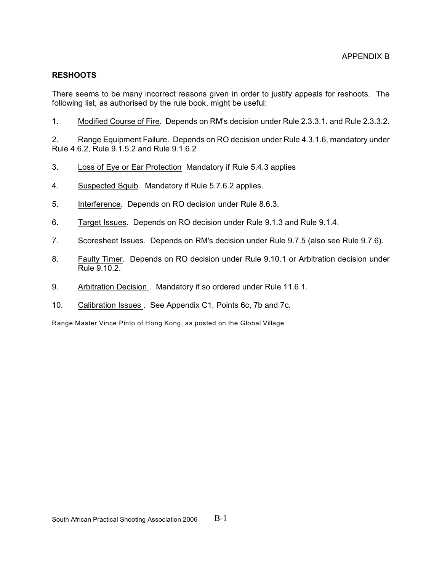### **RESHOOTS**

There seems to be many incorrect reasons given in order to justify appeals for reshoots. The following list, as authorised by the rule book, might be useful:

1. Modified Course of Fire. Depends on RM's decision under Rule 2.3.3.1. and Rule 2.3.3.2.

2. Range Equipment Failure. Depends on RO decision under Rule 4.3.1.6, mandatory under Rule 4.6.2, Rule 9.1.5.2 and Rule 9.1.6.2

- 3. Loss of Eye or Ear Protection Mandatory if Rule 5.4.3 applies
- 4. Suspected Squib. Mandatory if Rule 5.7.6.2 applies.
- 5. Interference. Depends on RO decision under Rule 8.6.3.
- 6. Target Issues. Depends on RO decision under Rule 9.1.3 and Rule 9.1.4.
- 7. Scoresheet Issues. Depends on RM's decision under Rule 9.7.5 (also see Rule 9.7.6).
- 8. Faulty Timer. Depends on RO decision under Rule 9.10.1 or Arbitration decision under Rule 9.10.2.
- 9. Arbitration Decision . Mandatory if so ordered under Rule 11.6.1.
- 10. Calibration Issues . See Appendix C1, Points 6c, 7b and 7c.

Range Master Vince Pinto of Hong Kong, as posted on the Global Village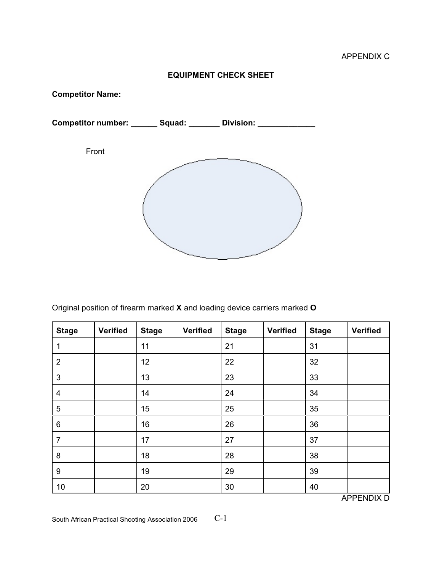### **EQUIPMENT CHECK SHEET**

**Competitor Name:**



Original position of firearm marked **X** and loading device carriers marked **O**

| <b>Stage</b>   | <b>Verified</b> | <b>Stage</b> | <b>Verified</b> | <b>Stage</b> | <b>Verified</b> | <b>Stage</b> | <b>Verified</b> |
|----------------|-----------------|--------------|-----------------|--------------|-----------------|--------------|-----------------|
| 1              |                 | 11           |                 | 21           |                 | 31           |                 |
| $\overline{2}$ |                 | 12           |                 | 22           |                 | 32           |                 |
| $\mathbf{3}$   |                 | 13           |                 | 23           |                 | 33           |                 |
| 4              |                 | 14           |                 | 24           |                 | 34           |                 |
| $\overline{5}$ |                 | 15           |                 | 25           |                 | 35           |                 |
| 6              |                 | 16           |                 | 26           |                 | 36           |                 |
| $\overline{7}$ |                 | 17           |                 | 27           |                 | 37           |                 |
| 8              |                 | 18           |                 | 28           |                 | 38           |                 |
| 9              |                 | 19           |                 | 29           |                 | 39           |                 |
| 10             |                 | 20           |                 | 30           |                 | 40           |                 |

APPENDIX D